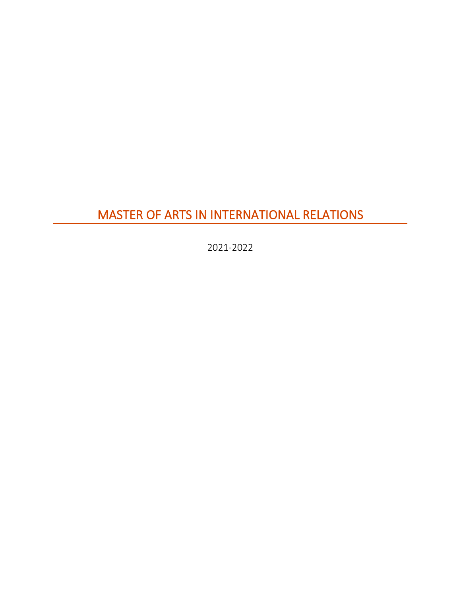# MASTER OF ARTS IN INTERNATIONAL RELATIONS

2021-2022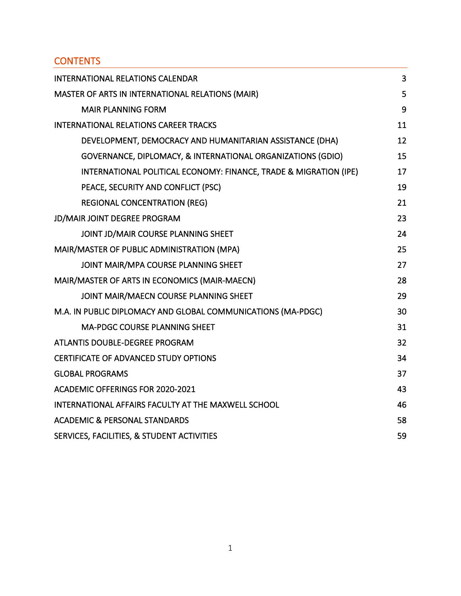## **CONTENTS**

| <b>INTERNATIONAL RELATIONS CALENDAR</b>                           | 3  |
|-------------------------------------------------------------------|----|
| MASTER OF ARTS IN INTERNATIONAL RELATIONS (MAIR)                  | 5  |
| <b>MAIR PLANNING FORM</b>                                         | 9  |
| <b>INTERNATIONAL RELATIONS CAREER TRACKS</b>                      | 11 |
| DEVELOPMENT, DEMOCRACY AND HUMANITARIAN ASSISTANCE (DHA)          | 12 |
| GOVERNANCE, DIPLOMACY, & INTERNATIONAL ORGANIZATIONS (GDIO)       | 15 |
| INTERNATIONAL POLITICAL ECONOMY: FINANCE, TRADE & MIGRATION (IPE) | 17 |
| PEACE, SECURITY AND CONFLICT (PSC)                                | 19 |
| <b>REGIONAL CONCENTRATION (REG)</b>                               | 21 |
| <b>JD/MAIR JOINT DEGREE PROGRAM</b>                               | 23 |
| JOINT JD/MAIR COURSE PLANNING SHEET                               | 24 |
| MAIR/MASTER OF PUBLIC ADMINISTRATION (MPA)                        | 25 |
| JOINT MAIR/MPA COURSE PLANNING SHEET                              | 27 |
| MAIR/MASTER OF ARTS IN ECONOMICS (MAIR-MAECN)                     | 28 |
| JOINT MAIR/MAECN COURSE PLANNING SHEET                            | 29 |
| M.A. IN PUBLIC DIPLOMACY AND GLOBAL COMMUNICATIONS (MA-PDGC)      | 30 |
| <b>MA-PDGC COURSE PLANNING SHEET</b>                              | 31 |
| ATLANTIS DOUBLE-DEGREE PROGRAM                                    | 32 |
| <b>CERTIFICATE OF ADVANCED STUDY OPTIONS</b>                      | 34 |
| <b>GLOBAL PROGRAMS</b>                                            | 37 |
| <b>ACADEMIC OFFERINGS FOR 2020-2021</b>                           | 43 |
| INTERNATIONAL AFFAIRS FACULTY AT THE MAXWELL SCHOOL               | 46 |
| <b>ACADEMIC &amp; PERSONAL STANDARDS</b>                          | 58 |
| SERVICES, FACILITIES, & STUDENT ACTIVITIES                        | 59 |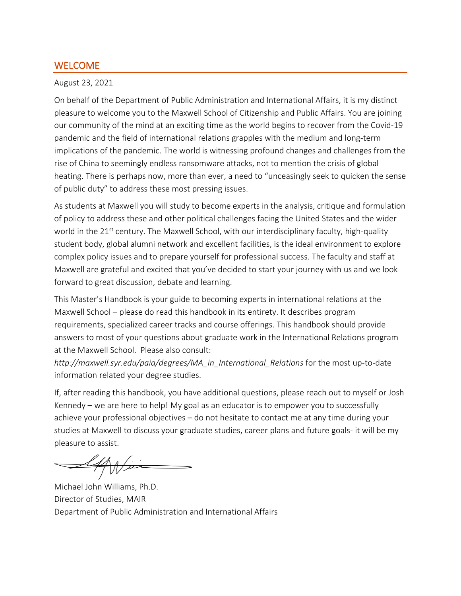## WELCOME

#### August 23, 2021

On behalf of the Department of Public Administration and International Affairs, it is my distinct pleasure to welcome you to the Maxwell School of Citizenship and Public Affairs. You are joining our community of the mind at an exciting time as the world begins to recover from the Covid-19 pandemic and the field of international relations grapples with the medium and long-term implications of the pandemic. The world is witnessing profound changes and challenges from the rise of China to seemingly endless ransomware attacks, not to mention the crisis of global heating. There is perhaps now, more than ever, a need to "unceasingly seek to quicken the sense of public duty" to address these most pressing issues.

As students at Maxwell you will study to become experts in the analysis, critique and formulation of policy to address these and other political challenges facing the United States and the wider world in the 21<sup>st</sup> century. The Maxwell School, with our interdisciplinary faculty, high-quality student body, global alumni network and excellent facilities, is the ideal environment to explore complex policy issues and to prepare yourself for professional success. The faculty and staff at Maxwell are grateful and excited that you've decided to start your journey with us and we look forward to great discussion, debate and learning.

This Master's Handbook is your guide to becoming experts in international relations at the Maxwell School – please do read this handbook in its entirety. It describes program requirements, specialized career tracks and course offerings. This handbook should provide answers to most of your questions about graduate work in the International Relations program at the Maxwell School. Please also consult:

*http://maxwell.syr.edu/paia/degrees/MA\_in\_International\_Relations* for the most up-to-date information related your degree studies.

If, after reading this handbook, you have additional questions, please reach out to myself or Josh Kennedy – we are here to help! My goal as an educator is to empower you to successfully achieve your professional objectives – do not hesitate to contact me at any time during your studies at Maxwell to discuss your graduate studies, career plans and future goals- it will be my pleasure to assist.

Wii

Michael John Williams, Ph.D. Director of Studies, MAIR Department of Public Administration and International Affairs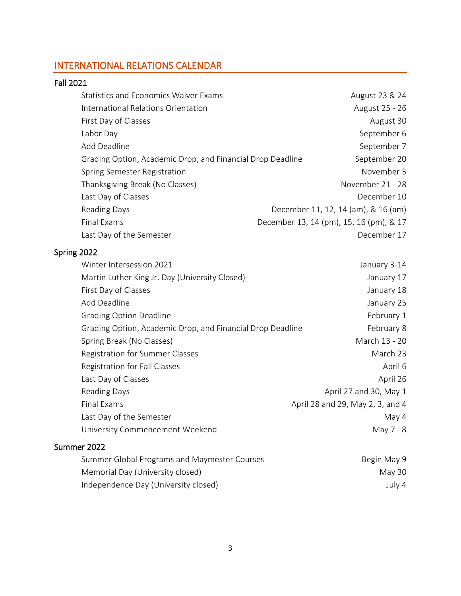## <span id="page-3-0"></span>INTERNATIONAL RELATIONS CALENDAR

### Fall 2021

| <b>Statistics and Economics Waiver Exams</b>               | August 23 & 24                          |
|------------------------------------------------------------|-----------------------------------------|
| International Relations Orientation                        | August 25 - 26                          |
| First Day of Classes                                       | August 30                               |
| Labor Day                                                  | September 6                             |
| Add Deadline                                               | September 7                             |
| Grading Option, Academic Drop, and Financial Drop Deadline | September 20                            |
| Spring Semester Registration                               | November 3                              |
| Thanksgiving Break (No Classes)                            | November 21 - 28                        |
| Last Day of Classes                                        | December 10                             |
| Reading Days                                               | December 11, 12, 14 (am), & 16 (am)     |
| Final Exams                                                | December 13, 14 (pm), 15, 16 (pm), & 17 |
| Last Day of the Semester                                   | December 17                             |

## Spring 2022

| Winter Intersession 2021                                   | January 3-14                     |
|------------------------------------------------------------|----------------------------------|
| Martin Luther King Jr. Day (University Closed)             | January 17                       |
| First Day of Classes                                       | January 18                       |
| Add Deadline                                               | January 25                       |
| <b>Grading Option Deadline</b>                             | February 1                       |
| Grading Option, Academic Drop, and Financial Drop Deadline | February 8                       |
| Spring Break (No Classes)                                  | March 13 - 20                    |
| Registration for Summer Classes                            | March 23                         |
| Registration for Fall Classes                              | April 6                          |
| Last Day of Classes                                        | April 26                         |
| <b>Reading Days</b>                                        | April 27 and 30, May 1           |
| Final Exams                                                | April 28 and 29, May 2, 3, and 4 |
| Last Day of the Semester                                   | May 4                            |
| University Commencement Weekend                            | May 7 - 8                        |
|                                                            |                                  |

## Summer 2022

| Summer Global Programs and Maymester Courses | Begin May 9 |
|----------------------------------------------|-------------|
| Memorial Day (University closed)             | Mav 30      |
| Independence Day (University closed)         | July 4      |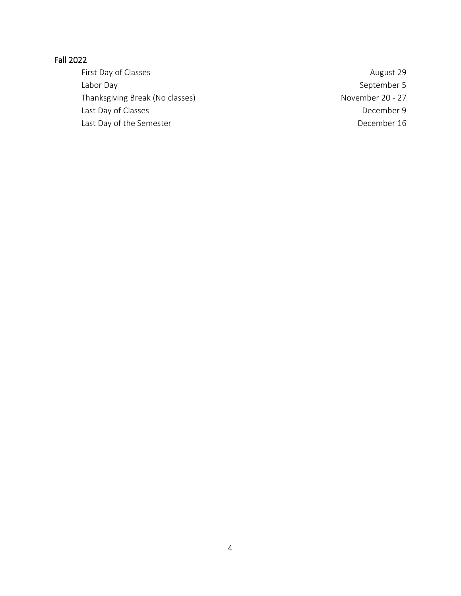## Fall 2022

First Day of Classes **August 29** August 29 Labor Day September 5 Thanksgiving Break (No classes) November 20 - 27 Last Day of Classes and the control of the December 9 and the December 9 Last Day of the Semester **December 16**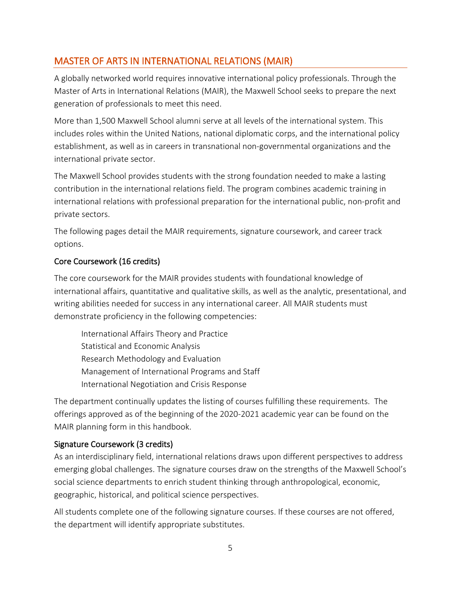## <span id="page-5-0"></span>MASTER OF ARTS IN INTERNATIONAL RELATIONS (MAIR)

A globally networked world requires innovative international policy professionals. Through the Master of Arts in International Relations (MAIR), the Maxwell School seeks to prepare the next generation of professionals to meet this need.

More than 1,500 Maxwell School alumni serve at all levels of the international system. This includes roles within the United Nations, national diplomatic corps, and the international policy establishment, as well as in careers in transnational non-governmental organizations and the international private sector.

The Maxwell School provides students with the strong foundation needed to make a lasting contribution in the international relations field. The program combines academic training in international relations with professional preparation for the international public, non-profit and private sectors.

The following pages detail the MAIR requirements, signature coursework, and career track options.

## Core Coursework (16 credits)

The core coursework for the MAIR provides students with foundational knowledge of international affairs, quantitative and qualitative skills, as well as the analytic, presentational, and writing abilities needed for success in any international career. All MAIR students must demonstrate proficiency in the following competencies:

International Affairs Theory and Practice Statistical and Economic Analysis Research Methodology and Evaluation Management of International Programs and Staff International Negotiation and Crisis Response

The department continually updates the listing of courses fulfilling these requirements. The offerings approved as of the beginning of the 2020-2021 academic year can be found on the MAIR planning form in this handbook.

### Signature Coursework (3 credits)

As an interdisciplinary field, international relations draws upon different perspectives to address emerging global challenges. The signature courses draw on the strengths of the Maxwell School's social science departments to enrich student thinking through anthropological, economic, geographic, historical, and political science perspectives.

All students complete one of the following signature courses. If these courses are not offered, the department will identify appropriate substitutes.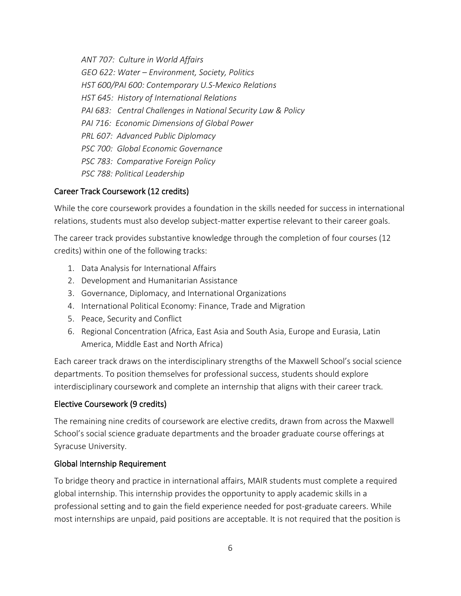*ANT 707: Culture in World Affairs GEO 622: Water – Environment, Society, Politics HST 600/PAI 600: Contemporary U.S-Mexico Relations HST 645: History of International Relations PAI 683: Central Challenges in National Security Law & Policy PAI 716: Economic Dimensions of Global Power PRL 607: Advanced Public Diplomacy PSC 700: Global Economic Governance PSC 783: Comparative Foreign Policy PSC 788: Political Leadership*

### Career Track Coursework (12 credits)

While the core coursework provides a foundation in the skills needed for success in international relations, students must also develop subject-matter expertise relevant to their career goals.

The career track provides substantive knowledge through the completion of four courses (12 credits) within one of the following tracks:

- 1. Data Analysis for International Affairs
- 2. Development and Humanitarian Assistance
- 3. Governance, Diplomacy, and International Organizations
- 4. International Political Economy: Finance, Trade and Migration
- 5. Peace, Security and Conflict
- 6. Regional Concentration (Africa, East Asia and South Asia, Europe and Eurasia, Latin America, Middle East and North Africa)

Each career track draws on the interdisciplinary strengths of the Maxwell School's social science departments. To position themselves for professional success, students should explore interdisciplinary coursework and complete an internship that aligns with their career track.

### Elective Coursework (9 credits)

The remaining nine credits of coursework are elective credits, drawn from across the Maxwell School's social science graduate departments and the broader graduate course offerings at Syracuse University.

### Global Internship Requirement

To bridge theory and practice in international affairs, MAIR students must complete a required global internship. This internship provides the opportunity to apply academic skills in a professional setting and to gain the field experience needed for post-graduate careers. While most internships are unpaid, paid positions are acceptable. It is not required that the position is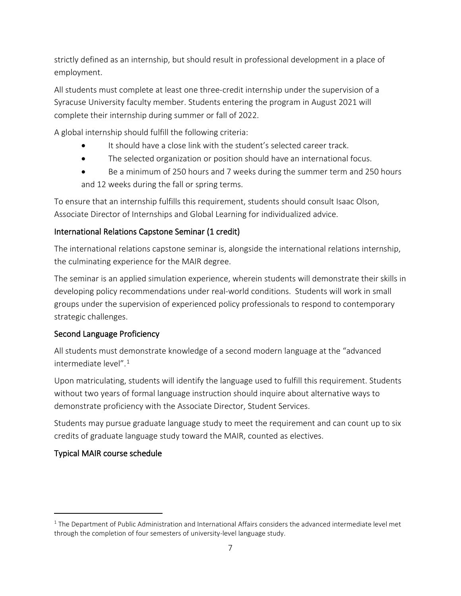strictly defined as an internship, but should result in professional development in a place of employment.

All students must complete at least one three-credit internship under the supervision of a Syracuse University faculty member. Students entering the program in August 2021 will complete their internship during summer or fall of 2022.

A global internship should fulfill the following criteria:

- It should have a close link with the student's selected career track.
- The selected organization or position should have an international focus.
- Be a minimum of 250 hours and 7 weeks during the summer term and 250 hours and 12 weeks during the fall or spring terms.

To ensure that an internship fulfills this requirement, students should consult Isaac Olson, Associate Director of Internships and Global Learning for individualized advice.

## International Relations Capstone Seminar (1 credit)

The international relations capstone seminar is, alongside the international relations internship, the culminating experience for the MAIR degree.

The seminar is an applied simulation experience, wherein students will demonstrate their skills in developing policy recommendations under real-world conditions. Students will work in small groups under the supervision of experienced policy professionals to respond to contemporary strategic challenges.

## Second Language Proficiency

All students must demonstrate knowledge of a second modern language at the "advanced intermediate level" $1$ 

Upon matriculating, students will identify the language used to fulfill this requirement. Students without two years of formal language instruction should inquire about alternative ways to demonstrate proficiency with the Associate Director, Student Services.

Students may pursue graduate language study to meet the requirement and can count up to six credits of graduate language study toward the MAIR, counted as electives.

## Typical MAIR course schedule

<span id="page-7-0"></span> $1$  The Department of Public Administration and International Affairs considers the advanced intermediate level met through the completion of four semesters of university-level language study.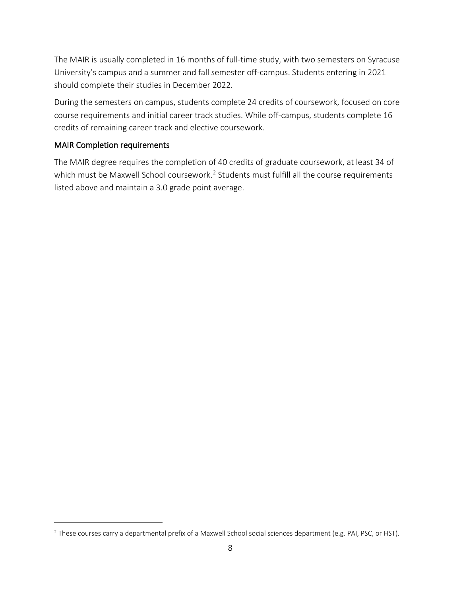The MAIR is usually completed in 16 months of full-time study, with two semesters on Syracuse University's campus and a summer and fall semester off-campus. Students entering in 2021 should complete their studies in December 2022.

During the semesters on campus, students complete 24 credits of coursework, focused on core course requirements and initial career track studies. While off-campus, students complete 16 credits of remaining career track and elective coursework.

#### MAIR Completion requirements

The MAIR degree requires the completion of 40 credits of graduate coursework, at least 34 of which must be Maxwell School coursework.<sup>[2](#page-8-0)</sup> Students must fulfill all the course requirements listed above and maintain a 3.0 grade point average.

<span id="page-8-0"></span> $2$  These courses carry a departmental prefix of a Maxwell School social sciences department (e.g. PAI, PSC, or HST).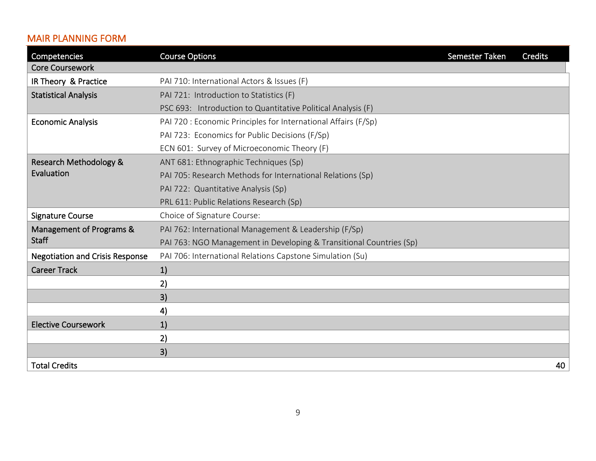## MAIR PLANNING FORM

<span id="page-9-0"></span>

| Competencies                           | <b>Course Options</b>                                               | Semester Taken | <b>Credits</b> |
|----------------------------------------|---------------------------------------------------------------------|----------------|----------------|
| <b>Core Coursework</b>                 |                                                                     |                |                |
| IR Theory & Practice                   | PAI 710: International Actors & Issues (F)                          |                |                |
| <b>Statistical Analysis</b>            | PAI 721: Introduction to Statistics (F)                             |                |                |
|                                        | PSC 693: Introduction to Quantitative Political Analysis (F)        |                |                |
| <b>Economic Analysis</b>               | PAI 720 : Economic Principles for International Affairs (F/Sp)      |                |                |
|                                        | PAI 723: Economics for Public Decisions (F/Sp)                      |                |                |
|                                        | ECN 601: Survey of Microeconomic Theory (F)                         |                |                |
| Research Methodology &                 | ANT 681: Ethnographic Techniques (Sp)                               |                |                |
| Evaluation                             | PAI 705: Research Methods for International Relations (Sp)          |                |                |
|                                        | PAI 722: Quantitative Analysis (Sp)                                 |                |                |
|                                        | PRL 611: Public Relations Research (Sp)                             |                |                |
| <b>Signature Course</b>                | Choice of Signature Course:                                         |                |                |
| Management of Programs &               | PAI 762: International Management & Leadership (F/Sp)               |                |                |
| <b>Staff</b>                           | PAI 763: NGO Management in Developing & Transitional Countries (Sp) |                |                |
| <b>Negotiation and Crisis Response</b> | PAI 706: International Relations Capstone Simulation (Su)           |                |                |
| <b>Career Track</b>                    | 1)                                                                  |                |                |
|                                        | 2)                                                                  |                |                |
|                                        | 3)                                                                  |                |                |
|                                        | 4)                                                                  |                |                |
| <b>Elective Coursework</b>             | 1)                                                                  |                |                |
|                                        | 2)                                                                  |                |                |
|                                        | 3)                                                                  |                |                |
| <b>Total Credits</b>                   |                                                                     |                | 40             |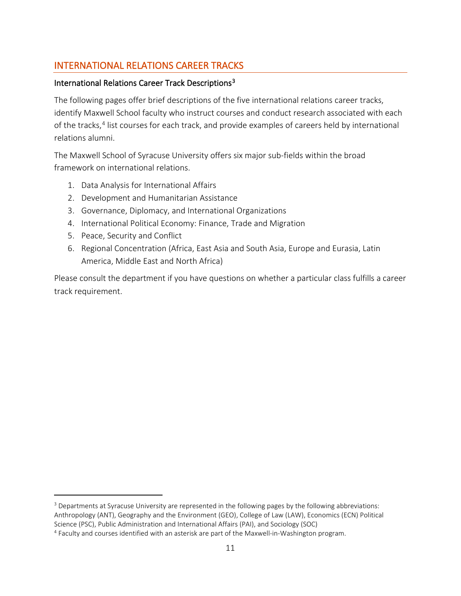## <span id="page-10-0"></span>INTERNATIONAL RELATIONS CAREER TRACKS

### International Relations Career Track Descriptions[3](#page-10-2)

The following pages offer brief descriptions of the five international relations career tracks, identify Maxwell School faculty who instruct courses and conduct research associated with each of the tracks,<sup>[4](#page-10-3)</sup> list courses for each track, and provide examples of careers held by international relations alumni.

The Maxwell School of Syracuse University offers six major sub-fields within the broad framework on international relations.

- 1. Data Analysis for International Affairs
- 2. Development and Humanitarian Assistance
- 3. Governance, Diplomacy, and International Organizations
- 4. International Political Economy: Finance, Trade and Migration
- 5. Peace, Security and Conflict
- 6. Regional Concentration (Africa, East Asia and South Asia, Europe and Eurasia, Latin America, Middle East and North Africa)

<span id="page-10-1"></span>Please consult the department if you have questions on whether a particular class fulfills a career track requirement.

<span id="page-10-2"></span><sup>3</sup> Departments at Syracuse University are represented in the following pages by the following abbreviations: Anthropology (ANT), Geography and the Environment (GEO), College of Law (LAW), Economics (ECN) Political Science (PSC), Public Administration and International Affairs (PAI), and Sociology (SOC)

<span id="page-10-3"></span><sup>4</sup> Faculty and courses identified with an asterisk are part of the Maxwell-in-Washington program.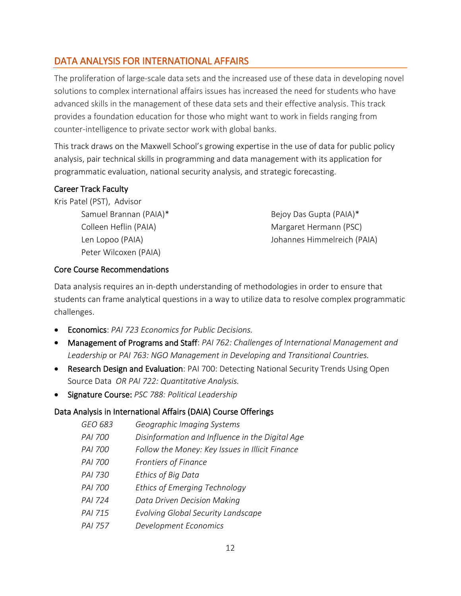## DATA ANALYSIS FOR INTERNATIONAL AFFAIRS

The proliferation of large-scale data sets and the increased use of these data in developing novel solutions to complex international affairs issues has increased the need for students who have advanced skills in the management of these data sets and their effective analysis. This track provides a foundation education for those who might want to work in fields ranging from counter-intelligence to private sector work with global banks.

This track draws on the Maxwell School's growing expertise in the use of data for public policy analysis, pair technical skills in programming and data management with its application for programmatic evaluation, national security analysis, and strategic forecasting.

### Career Track Faculty

Kris Patel (PST), Advisor Samuel Brannan (PAIA)\* Bejoy Das Gupta (PAIA)\* Peter Wilcoxen (PAIA)

Colleen Heflin (PAIA) Margaret Hermann (PSC) Len Lopoo (PAIA) Johannes Himmelreich (PAIA)

### Core Course Recommendations

Data analysis requires an in-depth understanding of methodologies in order to ensure that students can frame analytical questions in a way to utilize data to resolve complex programmatic challenges.

- Economics: *PAI 723 Economics for Public Decisions.*
- Management of Programs and Staff: *PAI 762: Challenges of International Management and Leadership* or *PAI 763: NGO Management in Developing and Transitional Countries.*
- Research Design and Evaluation: PAI 700: Detecting National Security Trends Using Open Source Data *OR PAI 722: Quantitative Analysis.*
- Signature Course: *PSC 788: Political Leadership*

### Data Analysis in International Affairs (DAIA) Course Offerings

- *GEO 683 Geographic Imaging Systems*
- *PAI 700 Disinformation and Influence in the Digital Age*
- *PAI 700 Follow the Money: Key Issues in Illicit Finance*
- *PAI 700 Frontiers of Finance*
- *PAI 730 Ethics of Big Data*
- *PAI 700 Ethics of Emerging Technology*
- *PAI 724 Data Driven Decision Making*
- *PAI 715 Evolving Global Security Landscape*
- *PAI 757 Development Economics*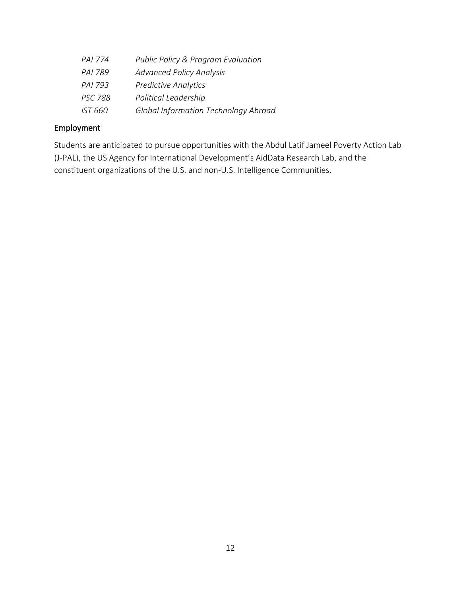| PAI 774        | <b>Public Policy &amp; Program Evaluation</b> |
|----------------|-----------------------------------------------|
| PAI 789        | <b>Advanced Policy Analysis</b>               |
| PAI 793        | <b>Predictive Analytics</b>                   |
| <b>PSC 788</b> | Political Leadership                          |
| IST 660        | <b>Global Information Technology Abroad</b>   |

## Employment

Students are anticipated to pursue opportunities with the Abdul Latif Jameel Poverty Action Lab (J-PAL), the US Agency for International Development's AidData Research Lab, and the constituent organizations of the U.S. and non-U.S. Intelligence Communities.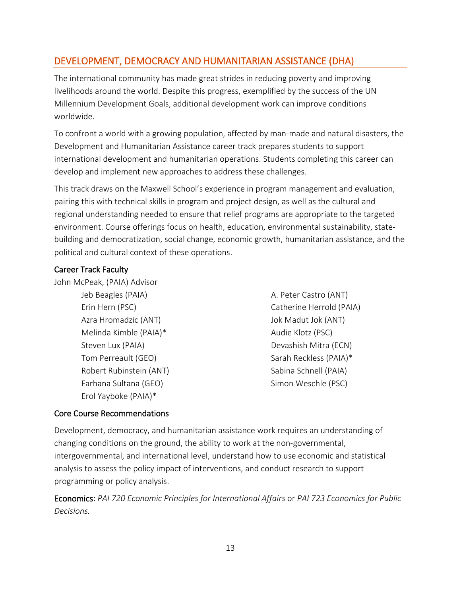## DEVELOPMENT, DEMOCRACY AND HUMANITARIAN ASSISTANCE (DHA)

The international community has made great strides in reducing poverty and improving livelihoods around the world. Despite this progress, exemplified by the success of the UN Millennium Development Goals, additional development work can improve conditions worldwide.

To confront a world with a growing population, affected by man-made and natural disasters, the Development and Humanitarian Assistance career track prepares students to support international development and humanitarian operations. Students completing this career can develop and implement new approaches to address these challenges.

This track draws on the Maxwell School's experience in program management and evaluation, pairing this with technical skills in program and project design, as well as the cultural and regional understanding needed to ensure that relief programs are appropriate to the targeted environment. Course offerings focus on health, education, environmental sustainability, statebuilding and democratization, social change, economic growth, humanitarian assistance, and the political and cultural context of these operations.

#### Career Track Faculty

John McPeak, (PAIA) Advisor

Azra Hromadzic (ANT) Jok Madut Jok (ANT) Melinda Kimble (PAIA)\* Audie Klotz (PSC) Steven Lux (PAIA) Devashish Mitra (ECN) Tom Perreault (GEO) Sarah Reckless (PAIA)\* Robert Rubinstein (ANT) Sabina Schnell (PAIA) Farhana Sultana (GEO) Simon Weschle (PSC) Erol Yayboke (PAIA)\*

Jeb Beagles (PAIA) A. Peter Castro (ANT) Erin Hern (PSC) Catherine Herrold (PAIA)

### Core Course Recommendations

Development, democracy, and humanitarian assistance work requires an understanding of changing conditions on the ground, the ability to work at the non-governmental, intergovernmental, and international level, understand how to use economic and statistical analysis to assess the policy impact of interventions, and conduct research to support programming or policy analysis.

Economics: *PAI 720 Economic Principles for International Affairs* or *PAI 723 Economics for Public Decisions.*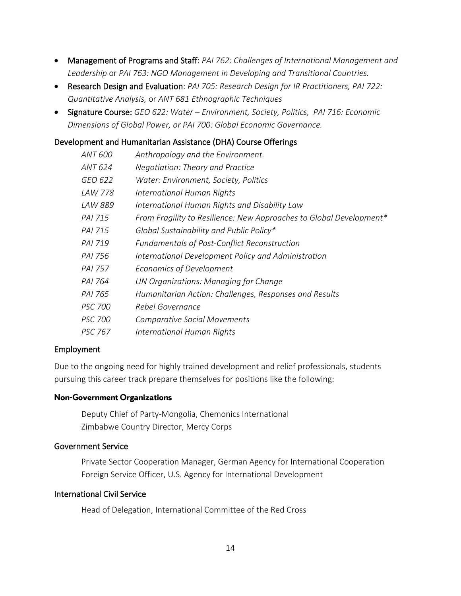- Management of Programs and Staff: *PAI 762: Challenges of International Management and Leadership* or *PAI 763: NGO Management in Developing and Transitional Countries.*
- Research Design and Evaluation: *PAI 705: Research Design for IR Practitioners, PAI 722: Quantitative Analysis,* or *ANT 681 Ethnographic Techniques*
- Signature Course: *GEO 622: Water Environment, Society, Politics, PAI 716: Economic Dimensions of Global Power, or PAI 700: Global Economic Governance.*

#### Development and Humanitarian Assistance (DHA) Course Offerings

| ANT 600        | Anthropology and the Environment.                                   |
|----------------|---------------------------------------------------------------------|
| ANT 624        | Negotiation: Theory and Practice                                    |
| GEO 622        | Water: Environment, Society, Politics                               |
| LAW 778        | International Human Rights                                          |
| LAW 889        | International Human Rights and Disability Law                       |
| <b>PAI 715</b> | From Fragility to Resilience: New Approaches to Global Development* |
| PAI 715        | Global Sustainability and Public Policy*                            |
| PAI 719        | <b>Fundamentals of Post-Conflict Reconstruction</b>                 |
| PAI 756        | International Development Policy and Administration                 |
| PAI 757        | Economics of Development                                            |
| PAI 764        | UN Organizations: Managing for Change                               |
| PAI 765        | Humanitarian Action: Challenges, Responses and Results              |
| <b>PSC 700</b> | Rebel Governance                                                    |
| <i>PSC 700</i> | <b>Comparative Social Movements</b>                                 |
| <i>PSC 767</i> | International Human Rights                                          |

#### Employment

Due to the ongoing need for highly trained development and relief professionals, students pursuing this career track prepare themselves for positions like the following:

#### **Non-Government Organizations**

Deputy Chief of Party-Mongolia, Chemonics International Zimbabwe Country Director, Mercy Corps

### Government Service

Private Sector Cooperation Manager, German Agency for International Cooperation Foreign Service Officer, U.S. Agency for International Development

#### International Civil Service

Head of Delegation, International Committee of the Red Cross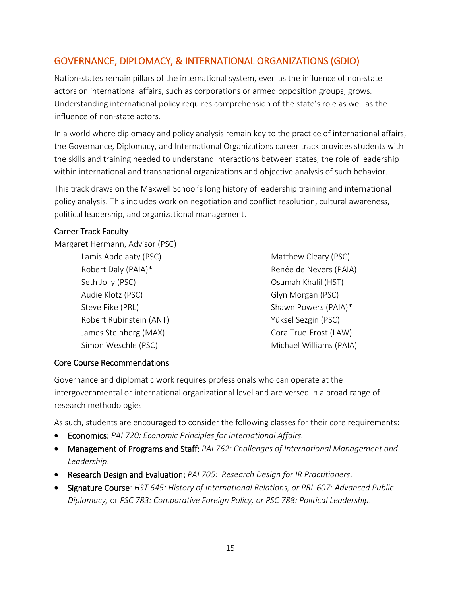## <span id="page-15-0"></span>GOVERNANCE, DIPLOMACY, & INTERNATIONAL ORGANIZATIONS (GDIO)

Nation-states remain pillars of the international system, even as the influence of non-state actors on international affairs, such as corporations or armed opposition groups, grows. Understanding international policy requires comprehension of the state's role as well as the influence of non-state actors.

In a world where diplomacy and policy analysis remain key to the practice of international affairs, the Governance, Diplomacy, and International Organizations career track provides students with the skills and training needed to understand interactions between states, the role of leadership within international and transnational organizations and objective analysis of such behavior.

This track draws on the Maxwell School's long history of leadership training and international policy analysis. This includes work on negotiation and conflict resolution, cultural awareness, political leadership, and organizational management.

### Career Track Faculty

Margaret Hermann, Advisor (PSC)

- Lamis Abdelaaty (PSC) and the Matthew Cleary (PSC) Seth Jolly (PSC) **Camaking Communist Communist Communist Communist Communist Communist Communist Communist Communist Communist Communist Communist Communist Communist Communist Communist Communist Communist Communist Commu** Audie Klotz (PSC) and Glyn Morgan (PSC) Steve Pike (PRL) Shawn Powers (PAIA)\* Robert Rubinstein (ANT) Vüksel Sezgin (PSC) James Steinberg (MAX) Cora True-Frost (LAW) Simon Weschle (PSC) Michael Williams (PAIA)
- Robert Daly (PAIA)\* Renée de Nevers (PAIA)

### Core Course Recommendations

Governance and diplomatic work requires professionals who can operate at the intergovernmental or international organizational level and are versed in a broad range of research methodologies.

As such, students are encouraged to consider the following classes for their core requirements:

- Economics: *PAI 720: Economic Principles for International Affairs.*
- Management of Programs and Staff: *PAI 762: Challenges of International Management and Leadership*.
- Research Design and Evaluation: *PAI 705: Research Design for IR Practitioners*.
- Signature Course: *HST 645: History of International Relations, or PRL 607: Advanced Public Diplomacy,* or *PSC 783: Comparative Foreign Policy, or PSC 788: Political Leadership*.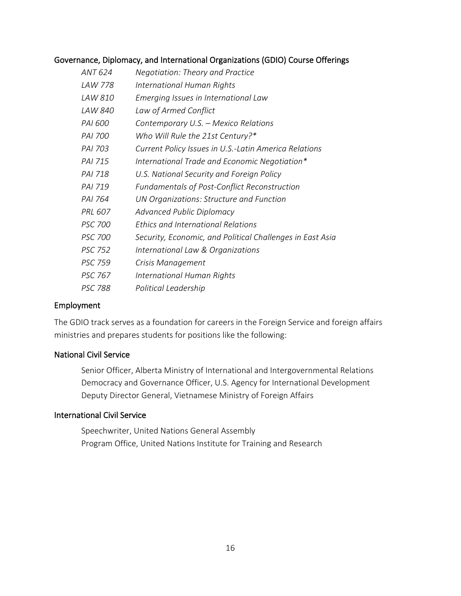#### Governance, Diplomacy, and International Organizations (GDIO) Course Offerings

| ANT 624        | Negotiation: Theory and Practice                          |
|----------------|-----------------------------------------------------------|
| LAW 778        | International Human Rights                                |
| LAW 810        | Emerging Issues in International Law                      |
| LAW 840        | Law of Armed Conflict                                     |
| PAI 600        | Contemporary U.S. - Mexico Relations                      |
| <i>PAI 700</i> | Who Will Rule the 21st Century?*                          |
| PAI 703        | Current Policy Issues in U.S.-Latin America Relations     |
| PAI 715        | International Trade and Economic Negotiation*             |
| PAI 718        | U.S. National Security and Foreign Policy                 |
| PAI 719        | <b>Fundamentals of Post-Conflict Reconstruction</b>       |
| PAI 764        | UN Organizations: Structure and Function                  |
| PRL 607        | Advanced Public Diplomacy                                 |
| <b>PSC 700</b> | Ethics and International Relations                        |
| <b>PSC 700</b> | Security, Economic, and Political Challenges in East Asia |
| <b>PSC 752</b> | International Law & Organizations                         |
| <b>PSC 759</b> | Crisis Management                                         |
| PSC 767        | International Human Rights                                |
| PSC 788        | Political Leadership                                      |

#### Employment

The GDIO track serves as a foundation for careers in the Foreign Service and foreign affairs ministries and prepares students for positions like the following:

#### National Civil Service

Senior Officer, Alberta Ministry of International and Intergovernmental Relations Democracy and Governance Officer, U.S. Agency for International Development Deputy Director General, Vietnamese Ministry of Foreign Affairs

### International Civil Service

Speechwriter, United Nations General Assembly Program Office, United Nations Institute for Training and Research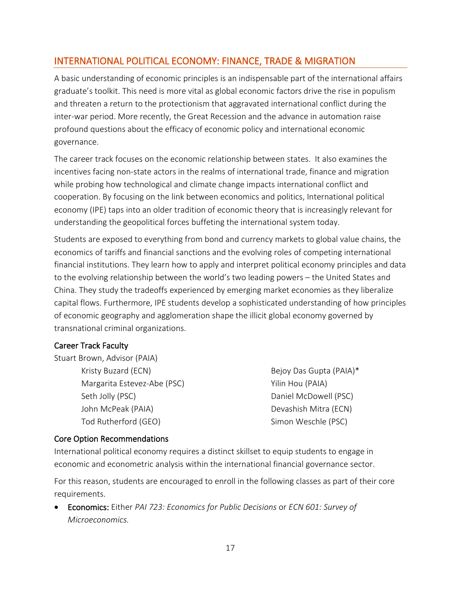## <span id="page-17-0"></span>INTERNATIONAL POLITICAL ECONOMY: FINANCE, TRADE & MIGRATION

A basic understanding of economic principles is an indispensable part of the international affairs graduate's toolkit. This need is more vital as global economic factors drive the rise in populism and threaten a return to the protectionism that aggravated international conflict during the inter-war period. More recently, the Great Recession and the advance in automation raise profound questions about the efficacy of economic policy and international economic governance.

The career track focuses on the economic relationship between states. It also examines the incentives facing non-state actors in the realms of international trade, finance and migration while probing how technological and climate change impacts international conflict and cooperation. By focusing on the link between economics and politics, International political economy (IPE) taps into an older tradition of economic theory that is increasingly relevant for understanding the geopolitical forces buffeting the international system today.

Students are exposed to everything from bond and currency markets to global value chains, the economics of tariffs and financial sanctions and the evolving roles of competing international financial institutions. They learn how to apply and interpret political economy principles and data to the evolving relationship between the world's two leading powers – the United States and China. They study the tradeoffs experienced by emerging market economies as they liberalize capital flows. Furthermore, IPE students develop a sophisticated understanding of how principles of economic geography and agglomeration shape the illicit global economy governed by transnational criminal organizations.

#### Career Track Faculty

Stuart Brown, Advisor (PAIA) Kristy Buzard (ECN) and Bejoy Das Gupta (PAIA)\* Margarita Estevez-Abe (PSC) Margarita Estevez-Abe (PSC) Seth Jolly (PSC) aniel McDowell (PSC) John McPeak (PAIA) Devashish Mitra (ECN)

Tod Rutherford (GEO) Simon Weschle (PSC)

### Core Option Recommendations

International political economy requires a distinct skillset to equip students to engage in economic and econometric analysis within the international financial governance sector.

For this reason, students are encouraged to enroll in the following classes as part of their core requirements.

• Economics: Either *PAI 723: Economics for Public Decisions* or *ECN 601: Survey of Microeconomics.*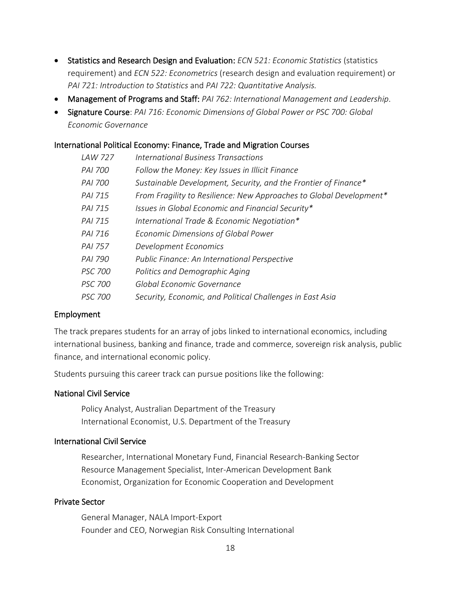- Statistics and Research Design and Evaluation: *ECN 521: Economic Statistics* (statistics requirement) and *ECN 522: Econometrics* (research design and evaluation requirement) or *PAI 721: Introduction to Statistics* and *PAI 722: Quantitative Analysis.*
- Management of Programs and Staff: *PAI 762: International Management and Leadership*.
- Signature Course: *PAI 716: Economic Dimensions of Global Power or PSC 700: Global Economic Governance*

#### International Political Economy: Finance, Trade and Migration Courses

| <b>LAW 727</b> | International Business Transactions                                 |
|----------------|---------------------------------------------------------------------|
| PAI 700        | Follow the Money: Key Issues in Illicit Finance                     |
| <b>PAI 700</b> | Sustainable Development, Security, and the Frontier of Finance*     |
| PAI 715        | From Fragility to Resilience: New Approaches to Global Development* |
| PAI 715        | Issues in Global Economic and Financial Security*                   |
| PAI 715        | International Trade & Economic Negotiation*                         |
| PAI 716        | Economic Dimensions of Global Power                                 |
| <b>PAI 757</b> | Development Economics                                               |
| PAI 790        | Public Finance: An International Perspective                        |
| <b>PSC 700</b> | Politics and Demographic Aging                                      |
| <b>PSC 700</b> | Global Economic Governance                                          |
| <i>PSC 700</i> | Security, Economic, and Political Challenges in East Asia           |

#### Employment

The track prepares students for an array of jobs linked to international economics, including international business, banking and finance, trade and commerce, sovereign risk analysis, public finance, and international economic policy.

Students pursuing this career track can pursue positions like the following:

#### National Civil Service

Policy Analyst, Australian Department of the Treasury International Economist, U.S. Department of the Treasury

#### International Civil Service

Researcher, International Monetary Fund, Financial Research-Banking Sector Resource Management Specialist, Inter-American Development Bank Economist, Organization for Economic Cooperation and Development

#### Private Sector

<span id="page-18-0"></span>General Manager, NALA Import-Export Founder and CEO, Norwegian Risk Consulting International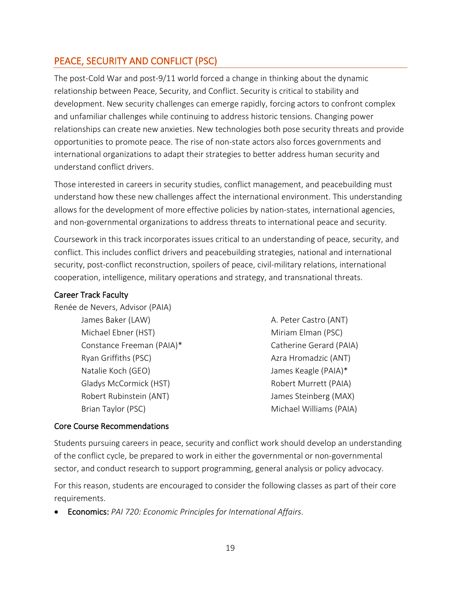## PEACE, SECURITY AND CONFLICT (PSC)

The post-Cold War and post-9/11 world forced a change in thinking about the dynamic relationship between Peace, Security, and Conflict. Security is critical to stability and development. New security challenges can emerge rapidly, forcing actors to confront complex and unfamiliar challenges while continuing to address historic tensions. Changing power relationships can create new anxieties. New technologies both pose security threats and provide opportunities to promote peace. The rise of non-state actors also forces governments and international organizations to adapt their strategies to better address human security and understand conflict drivers.

Those interested in careers in security studies, conflict management, and peacebuilding must understand how these new challenges affect the international environment. This understanding allows for the development of more effective policies by nation-states, international agencies, and non-governmental organizations to address threats to international peace and security.

Coursework in this track incorporates issues critical to an understanding of peace, security, and conflict. This includes conflict drivers and peacebuilding strategies, national and international security, post-conflict reconstruction, spoilers of peace, civil-military relations, international cooperation, intelligence, military operations and strategy, and transnational threats.

#### Career Track Faculty

Renée de Nevers, Advisor (PAIA) James Baker (LAW) A. Peter Castro (ANT) Michael Ebner (HST) Miriam Elman (PSC) Constance Freeman (PAIA)\* Catherine Gerard (PAIA) Ryan Griffiths (PSC) Azra Hromadzic (ANT) Natalie Koch (GEO)  $\blacksquare$  James Keagle (PAIA)\* Gladys McCormick (HST) The Controller Robert Murrett (PAIA) Robert Rubinstein (ANT) and Steinberg (MAX)

Brian Taylor (PSC) and the Controller Michael Williams (PAIA)

#### Core Course Recommendations

Students pursuing careers in peace, security and conflict work should develop an understanding of the conflict cycle, be prepared to work in either the governmental or non-governmental sector, and conduct research to support programming, general analysis or policy advocacy.

For this reason, students are encouraged to consider the following classes as part of their core requirements.

• Economics: *PAI 720: Economic Principles for International Affairs*.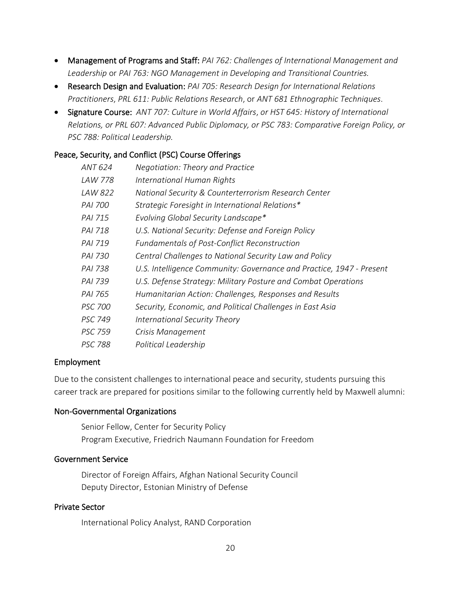- Management of Programs and Staff: *PAI 762: Challenges of International Management and Leadership* or *PAI 763: NGO Management in Developing and Transitional Countries.*
- Research Design and Evaluation: *PAI 705: Research Design for International Relations Practitioners*, *PRL 611: Public Relations Research*, or *ANT 681 Ethnographic Techniques*.
- Signature Course: *ANT 707: Culture in World Affairs*, *or HST 645: History of International Relations, or PRL 607: Advanced Public Diplomacy, or PSC 783: Comparative Foreign Policy, or PSC 788: Political Leadership.*

#### Peace, Security, and Conflict (PSC) Course Offerings

| ANT 624        | Negotiation: Theory and Practice                                     |
|----------------|----------------------------------------------------------------------|
| LAW 778        | International Human Rights                                           |
| LAW 822        | National Security & Counterterrorism Research Center                 |
| PAI 700        | Strategic Foresight in International Relations*                      |
| <b>PAI 715</b> | Evolving Global Security Landscape*                                  |
| PAI 718        | U.S. National Security: Defense and Foreign Policy                   |
| PAI 719        | <b>Fundamentals of Post-Conflict Reconstruction</b>                  |
| PAI 730        | Central Challenges to National Security Law and Policy               |
| PAI 738        | U.S. Intelligence Community: Governance and Practice, 1947 - Present |
| PAI 739        | U.S. Defense Strategy: Military Posture and Combat Operations        |
| PAI 765        | Humanitarian Action: Challenges, Responses and Results               |
| <b>PSC 700</b> | Security, Economic, and Political Challenges in East Asia            |
| PSC 749        | International Security Theory                                        |
| <b>PSC 759</b> | Crisis Management                                                    |
| <i>PSC 788</i> | Political Leadership                                                 |

#### Employment

Due to the consistent challenges to international peace and security, students pursuing this career track are prepared for positions similar to the following currently held by Maxwell alumni:

#### Non-Governmental Organizations

Senior Fellow, Center for Security Policy Program Executive, Friedrich Naumann Foundation for Freedom

#### Government Service

Director of Foreign Affairs, Afghan National Security Council Deputy Director, Estonian Ministry of Defense

#### Private Sector

International Policy Analyst, RAND Corporation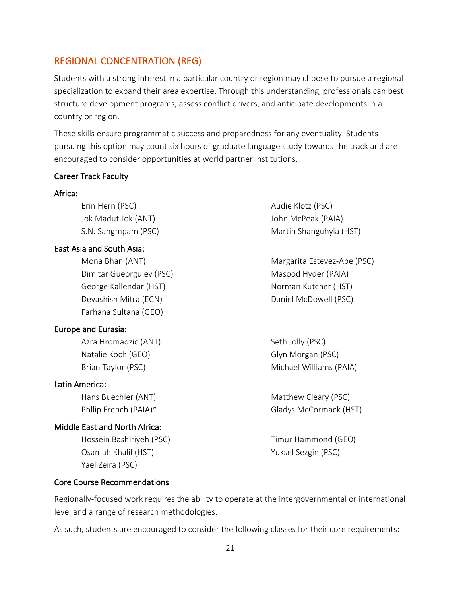### <span id="page-21-0"></span>REGIONAL CONCENTRATION (REG)

Students with a strong interest in a particular country or region may choose to pursue a regional specialization to expand their area expertise. Through this understanding, professionals can best structure development programs, assess conflict drivers, and anticipate developments in a country or region.

These skills ensure programmatic success and preparedness for any eventuality. Students pursuing this option may count six hours of graduate language study towards the track and are encouraged to consider opportunities at world partner institutions.

#### Career Track Faculty

#### Africa:

Erin Hern (PSC) and Erin Hern (PSC) and Erin Hern (PSC) Jok Madut Jok (ANT) John McPeak (PAIA)

#### East Asia and South Asia:

Dimitar Gueorguiev (PSC) Masood Hyder (PAIA) George Kallendar (HST) Norman Kutcher (HST) Devashish Mitra (ECN) Devashish Mitra (ECN) Farhana Sultana (GEO)

#### Europe and Eurasia:

Azra Hromadzic (ANT) Seth Jolly (PSC) Natalie Koch (GEO) Glyn Morgan (PSC)

#### Latin America:

#### Middle East and North Africa:

Hossein Bashiriyeh (PSC) Timur Hammond (GEO) Osamah Khalil (HST) Yuksel Sezgin (PSC) Yael Zeira (PSC)

#### Core Course Recommendations

Regionally-focused work requires the ability to operate at the intergovernmental or international level and a range of research methodologies.

As such, students are encouraged to consider the following classes for their core requirements:

S.N. Sangmpam (PSC) Martin Shanguhyia (HST)

Mona Bhan (ANT) Margarita Estevez-Abe (PSC)

Brian Taylor (PSC) Michael Williams (PAIA)

Hans Buechler (ANT) Matthew Cleary (PSC) Phllip French (PAIA)\* Gladys McCormack (HST)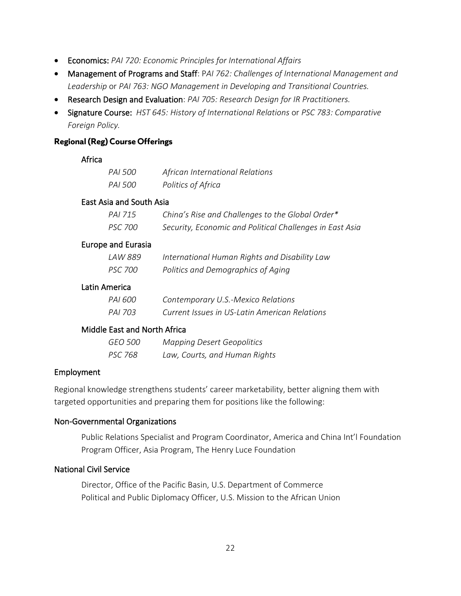- Economics: *PAI 720: Economic Principles for International Affairs*
- Management of Programs and Staff: P*AI 762: Challenges of International Management and Leadership* or *PAI 763: NGO Management in Developing and Transitional Countries.*
- Research Design and Evaluation: *PAI 705: Research Design for IR Practitioners.*
- Signature Course: *HST 645: History of International Relations* or *PSC 783: Comparative Foreign Policy.*

#### **Regional (Reg) Course Offerings**

#### Africa

| PAI 500 | African International Relations |
|---------|---------------------------------|
| PAI 500 | Politics of Africa              |

#### East Asia and South Asia

| PAI 715 | China's Rise and Challenges to the Global Order*         |
|---------|----------------------------------------------------------|
| PSC 700 | Security, Economic and Political Challenges in East Asia |

#### Europe and Eurasia

| LAW 889 | International Human Rights and Disability Law |
|---------|-----------------------------------------------|
| PSC 700 | Politics and Demographics of Aging            |

#### Latin America

| PAI 600 | Contemporary U.S.-Mexico Relations            |
|---------|-----------------------------------------------|
| PAI 703 | Current Issues in US-Latin American Relations |

### Middle East and North Africa

| GEO 500 | <b>Mapping Desert Geopolitics</b> |
|---------|-----------------------------------|
| PSC 768 | Law, Courts, and Human Rights     |

### Employment

Regional knowledge strengthens students' career marketability, better aligning them with targeted opportunities and preparing them for positions like the following:

### Non-Governmental Organizations

Public Relations Specialist and Program Coordinator, America and China Int'l Foundation Program Officer, Asia Program, The Henry Luce Foundation

#### National Civil Service

Director, Office of the Pacific Basin, U.S. Department of Commerce Political and Public Diplomacy Officer, U.S. Mission to the African Union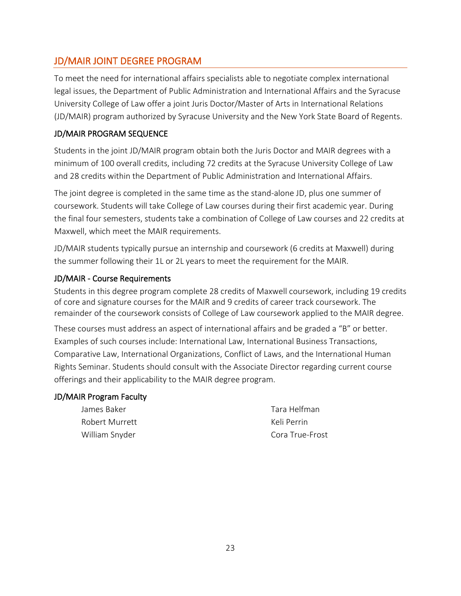## <span id="page-23-0"></span>JD/MAIR JOINT DEGREE PROGRAM

To meet the need for international affairs specialists able to negotiate complex international legal issues, the Department of Public Administration and International Affairs and the Syracuse University College of Law offer a joint Juris Doctor/Master of Arts in International Relations (JD/MAIR) program authorized by Syracuse University and the New York State Board of Regents.

### JD/MAIR PROGRAM SEQUENCE

Students in the joint JD/MAIR program obtain both the Juris Doctor and MAIR degrees with a minimum of 100 overall credits, including 72 credits at the Syracuse University College of Law and 28 credits within the Department of Public Administration and International Affairs.

The joint degree is completed in the same time as the stand-alone JD, plus one summer of coursework. Students will take College of Law courses during their first academic year. During the final four semesters, students take a combination of College of Law courses and 22 credits at Maxwell, which meet the MAIR requirements.

JD/MAIR students typically pursue an internship and coursework (6 credits at Maxwell) during the summer following their 1L or 2L years to meet the requirement for the MAIR.

### JD/MAIR - Course Requirements

Students in this degree program complete 28 credits of Maxwell coursework, including 19 credits of core and signature courses for the MAIR and 9 credits of career track coursework. The remainder of the coursework consists of College of Law coursework applied to the MAIR degree.

These courses must address an aspect of international affairs and be graded a "B" or better. Examples of such courses include: International Law, International Business Transactions, Comparative Law, International Organizations, Conflict of Laws, and the International Human Rights Seminar. Students should consult with the Associate Director regarding current course offerings and their applicability to the MAIR degree program.

### JD/MAIR Program Faculty

| James Baker    | Tara Helfman    |
|----------------|-----------------|
| Robert Murrett | Keli Perrin     |
| William Snyder | Cora True-Frost |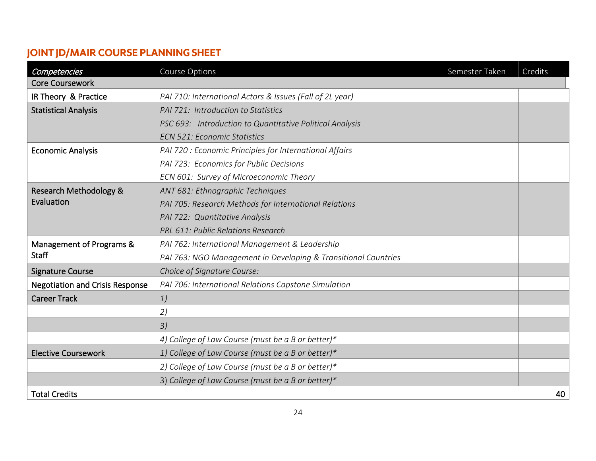## **JOINT JD/MAIR COURSE PLANNING SHEET**

<span id="page-24-0"></span>

| Competencies                           | Course Options                                                 | Semester Taken | Credits |
|----------------------------------------|----------------------------------------------------------------|----------------|---------|
| <b>Core Coursework</b>                 |                                                                |                |         |
| IR Theory & Practice                   | PAI 710: International Actors & Issues (Fall of 2L year)       |                |         |
| <b>Statistical Analysis</b>            | PAI 721: Introduction to Statistics                            |                |         |
|                                        | PSC 693: Introduction to Quantitative Political Analysis       |                |         |
|                                        | <b>ECN 521: Economic Statistics</b>                            |                |         |
| <b>Economic Analysis</b>               | PAI 720 : Economic Principles for International Affairs        |                |         |
|                                        | PAI 723: Economics for Public Decisions                        |                |         |
|                                        | ECN 601: Survey of Microeconomic Theory                        |                |         |
| <b>Research Methodology &amp;</b>      | ANT 681: Ethnographic Techniques                               |                |         |
| Evaluation                             | PAI 705: Research Methods for International Relations          |                |         |
|                                        | PAI 722: Quantitative Analysis                                 |                |         |
|                                        | PRL 611: Public Relations Research                             |                |         |
| Management of Programs &               | PAI 762: International Management & Leadership                 |                |         |
| <b>Staff</b>                           | PAI 763: NGO Management in Developing & Transitional Countries |                |         |
| <b>Signature Course</b>                | Choice of Signature Course:                                    |                |         |
| <b>Negotiation and Crisis Response</b> | PAI 706: International Relations Capstone Simulation           |                |         |
| <b>Career Track</b>                    | 1)                                                             |                |         |
|                                        | 2)                                                             |                |         |
|                                        | 3)                                                             |                |         |
|                                        | 4) College of Law Course (must be a B or better)*              |                |         |
| <b>Elective Coursework</b>             | 1) College of Law Course (must be a B or better)*              |                |         |
|                                        | 2) College of Law Course (must be a B or better)*              |                |         |
|                                        | 3) College of Law Course (must be a B or better)*              |                |         |
| <b>Total Credits</b>                   |                                                                |                | 40      |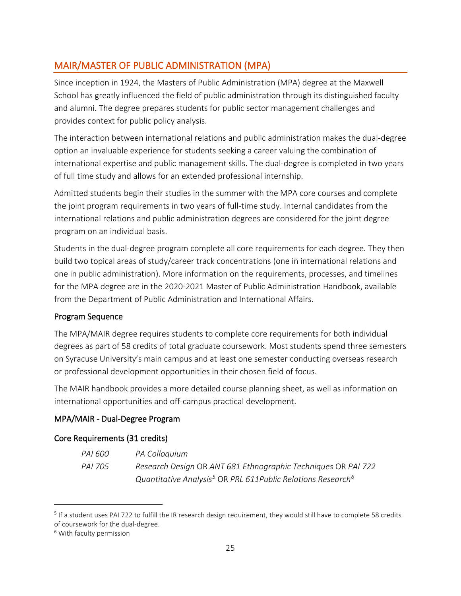## <span id="page-25-0"></span>MAIR/MASTER OF PUBLIC ADMINISTRATION (MPA)

Since inception in 1924, the Masters of Public Administration (MPA) degree at the Maxwell School has greatly influenced the field of public administration through its distinguished faculty and alumni. The degree prepares students for public sector management challenges and provides context for public policy analysis.

The interaction between international relations and public administration makes the dual-degree option an invaluable experience for students seeking a career valuing the combination of international expertise and public management skills. The dual-degree is completed in two years of full time study and allows for an extended professional internship.

Admitted students begin their studies in the summer with the MPA core courses and complete the joint program requirements in two years of full-time study. Internal candidates from the international relations and public administration degrees are considered for the joint degree program on an individual basis.

Students in the dual-degree program complete all core requirements for each degree. They then build two topical areas of study/career track concentrations (one in international relations and one in public administration). More information on the requirements, processes, and timelines for the MPA degree are in the 2020-2021 Master of Public Administration Handbook, available from the Department of Public Administration and International Affairs.

### Program Sequence

The MPA/MAIR degree requires students to complete core requirements for both individual degrees as part of 58 credits of total graduate coursework. Most students spend three semesters on Syracuse University's main campus and at least one semester conducting overseas research or professional development opportunities in their chosen field of focus.

The MAIR handbook provides a more detailed course planning sheet, as well as information on international opportunities and off-campus practical development.

## MPA/MAIR - Dual-Degree Program

### Core Requirements (31 credits)

*PAI 600 PA Colloquium PAI 705 Research Design* OR *ANT 681 Ethnographic Techniques* OR *PAI 722 Quantitative Analysis[5](#page-26-0)* OR *PRL 611Public Relations Research[6](#page-26-1)*

<sup>&</sup>lt;sup>5</sup> If a student uses PAI 722 to fulfill the IR research design requirement, they would still have to complete 58 credits of coursework for the dual-degree.<br><sup>6</sup> With faculty permission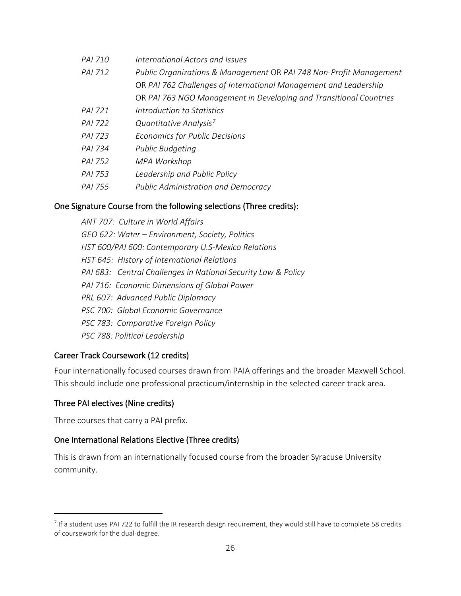| PAI 710 | International Actors and Issues                                    |
|---------|--------------------------------------------------------------------|
| PAI 712 | Public Organizations & Management OR PAI 748 Non-Profit Management |
|         | OR PAI 762 Challenges of International Management and Leadership   |
|         | OR PAI 763 NGO Management in Developing and Transitional Countries |
| PAI 721 | Introduction to Statistics                                         |
| PAI 722 | Quantitative Analysis <sup>7</sup>                                 |
| PAI 723 | Economics for Public Decisions                                     |
| PAI 734 | Public Budgeting                                                   |
| PAI 752 | MPA Workshop                                                       |
| PAI 753 | Leadership and Public Policy                                       |
| PAI 755 | <b>Public Administration and Democracy</b>                         |
|         |                                                                    |

#### One Signature Course from the following selections (Three credits):

*ANT 707: Culture in World Affairs GEO 622: Water – Environment, Society, Politics HST 600/PAI 600: Contemporary U.S-Mexico Relations HST 645: History of International Relations PAI 683: Central Challenges in National Security Law & Policy PAI 716: Economic Dimensions of Global Power PRL 607: Advanced Public Diplomacy PSC 700: Global Economic Governance PSC 783: Comparative Foreign Policy PSC 788: Political Leadership*

#### Career Track Coursework (12 credits)

Four internationally focused courses drawn from PAIA offerings and the broader Maxwell School. This should include one professional practicum/internship in the selected career track area.

#### Three PAI electives (Nine credits)

Three courses that carry a PAI prefix.

#### One International Relations Elective (Three credits)

This is drawn from an internationally focused course from the broader Syracuse University community.

<span id="page-26-1"></span><span id="page-26-0"></span><sup>&</sup>lt;sup>7</sup> If a student uses PAI 722 to fulfill the IR research design requirement, they would still have to complete 58 credits of coursework for the dual-degree.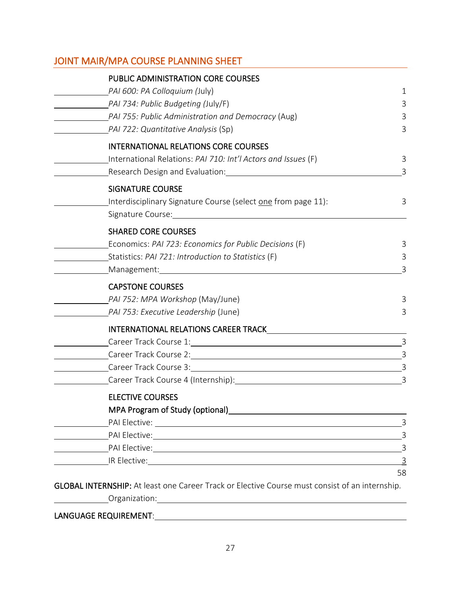## <span id="page-27-0"></span>JOINT MAIR/MPA COURSE PLANNING SHEET

| PUBLIC ADMINISTRATION CORE COURSES                                                                                                    |                |
|---------------------------------------------------------------------------------------------------------------------------------------|----------------|
| PAI 600: PA Colloquium (July)                                                                                                         | 1              |
| PAI 734: Public Budgeting (July/F)                                                                                                    | 3              |
| PAI 755: Public Administration and Democracy (Aug)                                                                                    | 3              |
| PAI 722: Quantitative Analysis (Sp)                                                                                                   | 3              |
| <b>INTERNATIONAL RELATIONS CORE COURSES</b>                                                                                           |                |
| International Relations: PAI 710: Int'l Actors and Issues (F)                                                                         | 3              |
| Research Design and Evaluation: National Section of the Section of the Section of the Section of the Section o                        | 3              |
| <b>SIGNATURE COURSE</b>                                                                                                               |                |
| Interdisciplinary Signature Course (select one from page 11):                                                                         | 3              |
|                                                                                                                                       |                |
| <b>SHARED CORE COURSES</b>                                                                                                            |                |
| Economics: PAI 723: Economics for Public Decisions (F)                                                                                | 3              |
| Statistics: PAI 721: Introduction to Statistics (F)                                                                                   | 3              |
| Management: Management:                                                                                                               | 3              |
| <b>CAPSTONE COURSES</b>                                                                                                               |                |
| PAI 752: MPA Workshop (May/June)                                                                                                      | 3              |
| PAI 753: Executive Leadership (June)                                                                                                  | 3              |
|                                                                                                                                       |                |
|                                                                                                                                       | $\overline{3}$ |
|                                                                                                                                       |                |
|                                                                                                                                       |                |
|                                                                                                                                       |                |
| <b>ELECTIVE COURSES</b>                                                                                                               |                |
| MPA Program of Study (optional) MPA Program and Control of Study (optional)                                                           |                |
|                                                                                                                                       | 3              |
|                                                                                                                                       | 3              |
|                                                                                                                                       | 3              |
| IR Elective: The Contract of The Contract of The Contract of The Contract of The Contract of The Contract of T                        | $\overline{3}$ |
|                                                                                                                                       | 58             |
| GLOBAL INTERNSHIP: At least one Career Track or Elective Course must consist of an internship.                                        |                |
| Organization:<br><u> 1980 - Jan Samuel Barbara, martin da shekara 1980 - An tsara 1980 - An tsara 1980 - An tsara 1980 - An tsara</u> |                |

### <span id="page-27-1"></span>LANGUAGE REQUIREMENT: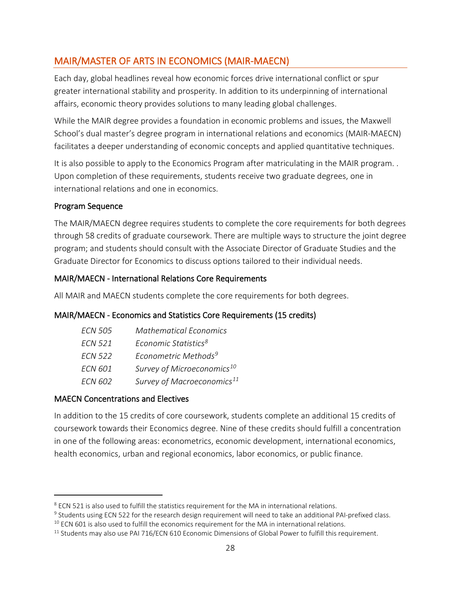## <span id="page-28-0"></span>MAIR/MASTER OF ARTS IN ECONOMICS (MAIR-MAECN)

Each day, global headlines reveal how economic forces drive international conflict or spur greater international stability and prosperity. In addition to its underpinning of international affairs, economic theory provides solutions to many leading global challenges.

While the MAIR degree provides a foundation in economic problems and issues, the Maxwell School's dual master's degree program in international relations and economics (MAIR-MAECN) facilitates a deeper understanding of economic concepts and applied quantitative techniques.

It is also possible to apply to the Economics Program after matriculating in the MAIR program. . Upon completion of these requirements, students receive two graduate degrees, one in international relations and one in economics.

### Program Sequence

The MAIR/MAECN degree requires students to complete the core requirements for both degrees through 58 credits of graduate coursework. There are multiple ways to structure the joint degree program; and students should consult with the Associate Director of Graduate Studies and the Graduate Director for Economics to discuss options tailored to their individual needs.

#### MAIR/MAECN - International Relations Core Requirements

All MAIR and MAECN students complete the core requirements for both degrees.

### MAIR/MAECN - Economics and Statistics Core Requirements (15 credits)

| <b>FCN 505</b> | <b>Mathematical Economics</b>          |
|----------------|----------------------------------------|
| <b>FCN 521</b> | Economic Statistics <sup>8</sup>       |
| <b>ECN 522</b> | Econometric Methods <sup>9</sup>       |
| <b>ECN 601</b> | Survey of Microeconomics <sup>10</sup> |
| <b>ECN 602</b> | Survey of Macroeconomics <sup>11</sup> |

#### MAECN Concentrations and Electives

In addition to the 15 credits of core coursework, students complete an additional 15 credits of coursework towards their Economics degree. Nine of these credits should fulfill a concentration in one of the following areas: econometrics, economic development, international economics, health economics, urban and regional economics, labor economics, or public finance.

<sup>&</sup>lt;sup>8</sup> ECN 521 is also used to fulfill the statistics requirement for the MA in international relations.

<sup>&</sup>lt;sup>9</sup> Students using ECN 522 for the research design requirement will need to take an additional PAI-prefixed class.

 $10$  ECN 601 is also used to fulfill the economics requirement for the MA in international relations.

<sup>&</sup>lt;sup>11</sup> Students may also use PAI 716/ECN 610 Economic Dimensions of Global Power to fulfill this requirement.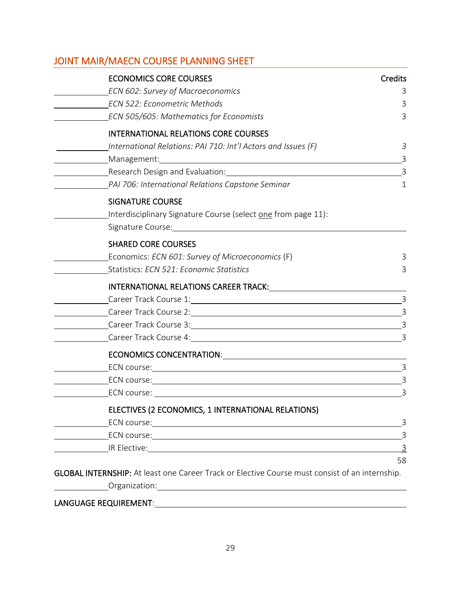## <span id="page-29-0"></span>JOINT MAIR/MAECN COURSE PLANNING SHEET

| <b>ECONOMICS CORE COURSES</b>            |                                                                                                                                                                                                                                      | <b>Credits</b> |
|------------------------------------------|--------------------------------------------------------------------------------------------------------------------------------------------------------------------------------------------------------------------------------------|----------------|
| ECN 602: Survey of Macroeconomics        |                                                                                                                                                                                                                                      | 3              |
| <b>ECN 522: Econometric Methods</b>      |                                                                                                                                                                                                                                      | 3              |
|                                          | ECN 505/605: Mathematics for Economists                                                                                                                                                                                              | 3              |
|                                          | <b>INTERNATIONAL RELATIONS CORE COURSES</b>                                                                                                                                                                                          |                |
|                                          | International Relations: PAI 710: Int'l Actors and Issues (F)                                                                                                                                                                        | 3              |
|                                          |                                                                                                                                                                                                                                      | 3              |
|                                          | Research Design and Evaluation: Notified the Contract of the Contract of the Contract of the Contract of the Contract of the Contract of the Contract of the Contract of the Contract of the Contract of the Contract of the C       | $\overline{3}$ |
|                                          | PAI 706: International Relations Capstone Seminar                                                                                                                                                                                    | 1              |
| <b>SIGNATURE COURSE</b>                  |                                                                                                                                                                                                                                      |                |
|                                          | Interdisciplinary Signature Course (select one from page 11):                                                                                                                                                                        |                |
|                                          |                                                                                                                                                                                                                                      |                |
| <b>SHARED CORE COURSES</b>               |                                                                                                                                                                                                                                      |                |
|                                          | Economics: ECN 601: Survey of Microeconomics (F)                                                                                                                                                                                     | 3              |
| Statistics: ECN 521: Economic Statistics |                                                                                                                                                                                                                                      | 3              |
|                                          | INTERNATIONAL RELATIONS CAREER TRACK: University of Anti-                                                                                                                                                                            |                |
|                                          |                                                                                                                                                                                                                                      | 3              |
|                                          | Career Track Course 2: Career Account Care Care Course 2:                                                                                                                                                                            | 3              |
|                                          |                                                                                                                                                                                                                                      |                |
|                                          | Career Track Course 4: 2008 and 2008 and 2008 and 2008 and 2008 and 2008 and 2008 and 2008 and 2008 and 2008 a                                                                                                                       | 3              |
|                                          |                                                                                                                                                                                                                                      |                |
|                                          | ECN course: <u>contract and contract and contract and contract and contract and contract and contract and contract of the contract of the contract of the contract of the contract of the contract of the contract of the contra</u> | $\overline{3}$ |
|                                          |                                                                                                                                                                                                                                      | $\overline{3}$ |
|                                          |                                                                                                                                                                                                                                      | $\overline{3}$ |
|                                          | ELECTIVES (2 ECONOMICS, 1 INTERNATIONAL RELATIONS)                                                                                                                                                                                   |                |
|                                          |                                                                                                                                                                                                                                      | 3              |
|                                          |                                                                                                                                                                                                                                      | $\overline{3}$ |
|                                          |                                                                                                                                                                                                                                      | $\overline{3}$ |
|                                          |                                                                                                                                                                                                                                      | 58             |
|                                          | GLOBAL INTERNSHIP: At least one Career Track or Elective Course must consist of an internship.                                                                                                                                       |                |
|                                          | Organization: National Accounts and Accounts and Accounts and Accounts are also as a series of the Accounts and Accounts are also as a series of the Accounts and Accounts are also as a series of the Accounts are also as a        |                |

### <span id="page-29-4"></span><span id="page-29-3"></span><span id="page-29-2"></span><span id="page-29-1"></span>LANGUAGE REQUIREMENT: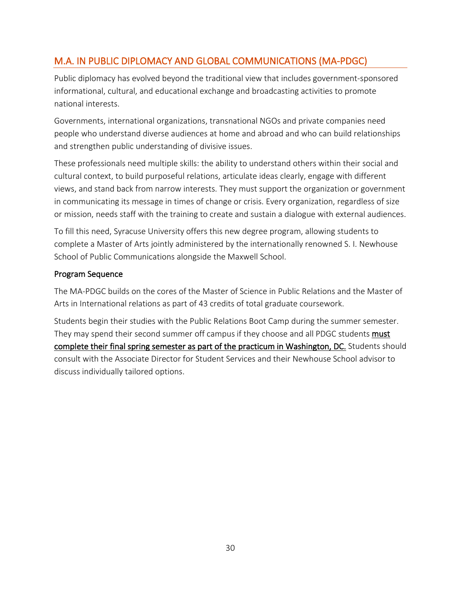## <span id="page-30-0"></span>M.A. IN PUBLIC DIPLOMACY AND GLOBAL COMMUNICATIONS (MA-PDGC)

Public diplomacy has evolved beyond the traditional view that includes government-sponsored informational, cultural, and educational exchange and broadcasting activities to promote national interests.

Governments, international organizations, transnational NGOs and private companies need people who understand diverse audiences at home and abroad and who can build relationships and strengthen public understanding of divisive issues.

These professionals need multiple skills: the ability to understand others within their social and cultural context, to build purposeful relations, articulate ideas clearly, engage with different views, and stand back from narrow interests. They must support the organization or government in communicating its message in times of change or crisis. Every organization, regardless of size or mission, needs staff with the training to create and sustain a dialogue with external audiences.

To fill this need, Syracuse University offers this new degree program, allowing students to complete a Master of Arts jointly administered by the internationally renowned S. I. Newhouse School of Public Communications alongside the Maxwell School.

### Program Sequence

The MA-PDGC builds on the cores of the Master of Science in Public Relations and the Master of Arts in International relations as part of 43 credits of total graduate coursework.

Students begin their studies with the Public Relations Boot Camp during the summer semester. They may spend their second summer off campus if they choose and all PDGC students must complete their final spring semester as part of the practicum in Washington, DC. Students should consult with the Associate Director for Student Services and their Newhouse School advisor to discuss individually tailored options.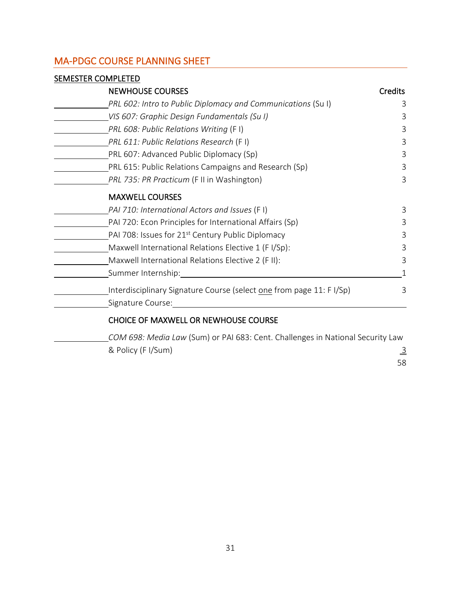## <span id="page-31-0"></span>MA-PDGC COURSE PLANNING SHEET

| <b>SEMESTER COMPLETED</b>                                            |                |
|----------------------------------------------------------------------|----------------|
| <b>NEWHOUSE COURSES</b>                                              | <b>Credits</b> |
| PRL 602: Intro to Public Diplomacy and Communications (Su I)         | 3              |
| VIS 607: Graphic Design Fundamentals (Su I)                          | 3              |
| PRL 608: Public Relations Writing (F I)                              | 3              |
| PRL 611: Public Relations Research (F I)                             | 3              |
| PRL 607: Advanced Public Diplomacy (Sp)                              | 3              |
| PRL 615: Public Relations Campaigns and Research (Sp)                | 3              |
| PRL 735: PR Practicum (F II in Washington)                           | 3              |
| <b>MAXWELL COURSES</b>                                               |                |
| PAI 710: International Actors and Issues (FI)                        | 3              |
| PAI 720: Econ Principles for International Affairs (Sp)              | 3              |
| PAI 708: Issues for 21 <sup>st</sup> Century Public Diplomacy        | 3              |
| Maxwell International Relations Elective 1 (FI/Sp):                  | 3              |
| Maxwell International Relations Elective 2 (F II):                   | 3              |
| Summer Internship:                                                   |                |
| Interdisciplinary Signature Course (select one from page 11: F I/Sp) | 3              |
| Signature Course:                                                    |                |
| CHOICE OF MAXWELL OR NEWHOUSE COURSE                                 |                |

*COM 698: Media Law* (Sum) or PAI 683: Cent. Challenges in National Security Law & Policy (F I/Sum)  $\frac{3}{5}$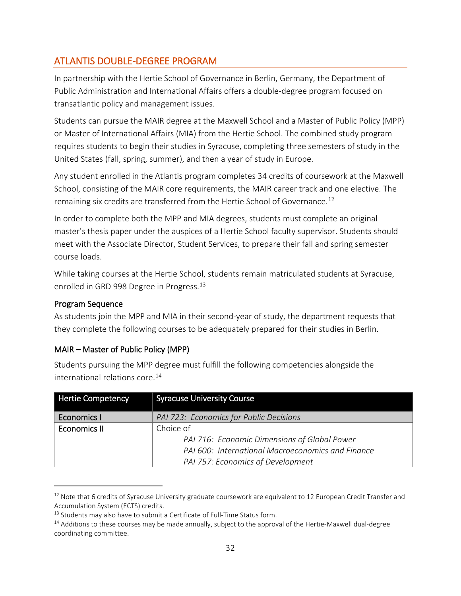## <span id="page-32-0"></span>ATLANTIS DOUBLE-DEGREE PROGRAM

In partnership with the Hertie School of Governance in Berlin, Germany, the Department of Public Administration and International Affairs offers a double-degree program focused on transatlantic policy and management issues.

Students can pursue the MAIR degree at the Maxwell School and a Master of Public Policy (MPP) or Master of International Affairs (MIA) from the Hertie School. The combined study program requires students to begin their studies in Syracuse, completing three semesters of study in the United States (fall, spring, summer), and then a year of study in Europe.

Any student enrolled in the Atlantis program completes 34 credits of coursework at the Maxwell School, consisting of the MAIR core requirements, the MAIR career track and one elective. The remaining six credits are transferred from the Hertie School of Governance.<sup>[12](#page-33-0)</sup>

In order to complete both the MPP and MIA degrees, students must complete an original master's thesis paper under the auspices of a Hertie School faculty supervisor. Students should meet with the Associate Director, Student Services, to prepare their fall and spring semester course loads.

While taking courses at the Hertie School, students remain matriculated students at Syracuse, enrolled in GRD 998 Degree in Progress.<sup>[13](#page-33-1)</sup>

### Program Sequence

As students join the MPP and MIA in their second-year of study, the department requests that they complete the following courses to be adequately prepared for their studies in Berlin.

## MAIR – Master of Public Policy (MPP)

Students pursuing the MPP degree must fulfill the following competencies alongside the international relations core.<sup>[14](#page-33-2)</sup>

| <b>Hertie Competency</b> | <b>Syracuse University Course</b>                 |
|--------------------------|---------------------------------------------------|
| <b>Economics I</b>       | PAI 723: Economics for Public Decisions           |
| <b>Economics II</b>      | Choice of                                         |
|                          | PAI 716: Economic Dimensions of Global Power      |
|                          | PAI 600: International Macroeconomics and Finance |
|                          | PAI 757: Economics of Development                 |

 $12$  Note that 6 credits of Syracuse University graduate coursework are equivalent to 12 European Credit Transfer and Accumulation System (ECTS) credits.

 $13$  Students may also have to submit a Certificate of Full-Time Status form.

<sup>&</sup>lt;sup>14</sup> Additions to these courses may be made annually, subject to the approval of the Hertie-Maxwell dual-degree coordinating committee.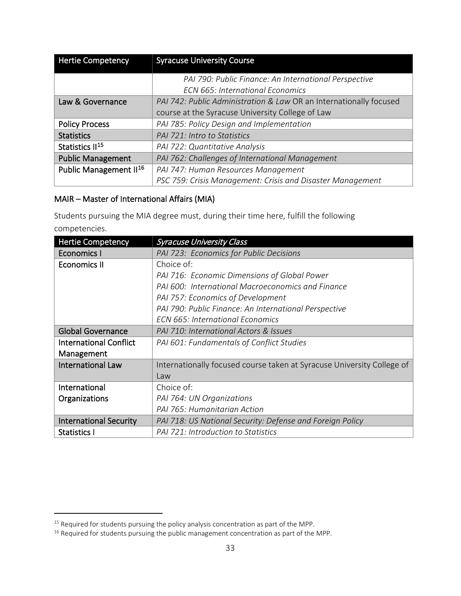| <b>Hertie Competency</b>           | <b>Syracuse University Course</b>                                  |
|------------------------------------|--------------------------------------------------------------------|
|                                    | PAI 790: Public Finance: An International Perspective              |
|                                    | <b>ECN 665: International Economics</b>                            |
| Law & Governance                   | PAI 742: Public Administration & Law OR an Internationally focused |
|                                    | course at the Syracuse University College of Law                   |
| <b>Policy Process</b>              | PAI 785: Policy Design and Implementation                          |
| <b>Statistics</b>                  | PAI 721: Intro to Statistics                                       |
| Statistics II <sup>15</sup>        | PAI 722: Quantitative Analysis                                     |
| <b>Public Management</b>           | PAI 762: Challenges of International Management                    |
| Public Management II <sup>16</sup> | PAI 747: Human Resources Management                                |
|                                    | PSC 759: Crisis Management: Crisis and Disaster Management         |

### MAIR – Master of International Affairs (MIA)

Students pursuing the MIA degree must, during their time here, fulfill the following competencies.

| <b>Hertie Competency</b>      | <b>Syracuse University Class</b>                                       |
|-------------------------------|------------------------------------------------------------------------|
| <b>Economics I</b>            | PAI 723: Economics for Public Decisions                                |
| <b>Economics II</b>           | Choice of:                                                             |
|                               | PAI 716: Economic Dimensions of Global Power                           |
|                               | PAI 600: International Macroeconomics and Finance                      |
|                               | PAI 757: Economics of Development                                      |
|                               | PAI 790: Public Finance: An International Perspective                  |
|                               | <b>ECN 665: International Economics</b>                                |
| <b>Global Governance</b>      | PAI 710: International Actors & Issues                                 |
| <b>International Conflict</b> | PAI 601: Fundamentals of Conflict Studies                              |
| Management                    |                                                                        |
| <b>International Law</b>      | Internationally focused course taken at Syracuse University College of |
|                               | Law                                                                    |
| International                 | Choice of:                                                             |
| Organizations                 | PAI 764: UN Organizations                                              |
|                               | PAI 765: Humanitarian Action                                           |
| <b>International Security</b> | PAI 718: US National Security: Defense and Foreign Policy              |
| <b>Statistics I</b>           | PAI 721: Introduction to Statistics                                    |

<span id="page-33-2"></span><span id="page-33-1"></span><span id="page-33-0"></span><sup>&</sup>lt;sup>15</sup> Required for students pursuing the policy analysis concentration as part of the MPP.<br><sup>16</sup> Required for students pursuing the public management concentration as part of the MPP.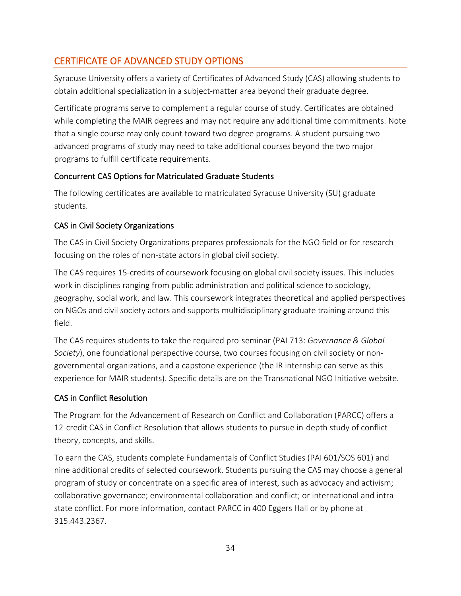## <span id="page-34-0"></span>CERTIFICATE OF ADVANCED STUDY OPTIONS

Syracuse University offers a variety of Certificates of Advanced Study (CAS) allowing students to obtain additional specialization in a subject-matter area beyond their graduate degree.

Certificate programs serve to complement a regular course of study. Certificates are obtained while completing the MAIR degrees and may not require any additional time commitments. Note that a single course may only count toward two degree programs. A student pursuing two advanced programs of study may need to take additional courses beyond the two major programs to fulfill certificate requirements.

### Concurrent CAS Options for Matriculated Graduate Students

The following certificates are available to matriculated Syracuse University (SU) graduate students.

### CAS in Civil Society Organizations

The CAS in Civil Society Organizations prepares professionals for the NGO field or for research focusing on the roles of non-state actors in global civil society.

The CAS requires 15-credits of coursework focusing on global civil society issues. This includes work in disciplines ranging from public administration and political science to sociology, geography, social work, and law. This coursework integrates theoretical and applied perspectives on NGOs and civil society actors and supports multidisciplinary graduate training around this field.

The CAS requires students to take the required pro-seminar (PAI 713: *Governance & Global Society*), one foundational perspective course, two courses focusing on civil society or nongovernmental organizations, and a capstone experience (the IR internship can serve as this experience for MAIR students). Specific details are on the Transnational NGO Initiative website.

### CAS in Conflict Resolution

The Program for the Advancement of Research on Conflict and Collaboration (PARCC) offers a 12-credit CAS in Conflict Resolution that allows students to pursue in-depth study of conflict theory, concepts, and skills.

<span id="page-34-2"></span><span id="page-34-1"></span>To earn the CAS, students complete Fundamentals of Conflict Studies (PAI 601/SOS 601) and nine additional credits of selected coursework. Students pursuing the CAS may choose a general program of study or concentrate on a specific area of interest, such as advocacy and activism; collaborative governance; environmental collaboration and conflict; or international and intrastate conflict. For more information, contact PARCC in 400 Eggers Hall or by phone at 315.443.2367.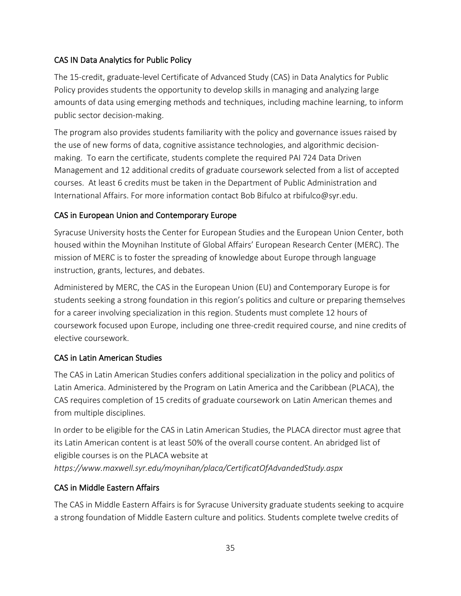## CAS IN Data Analytics for Public Policy

The 15-credit, graduate-level Certificate of Advanced Study (CAS) in Data Analytics for Public Policy provides students the opportunity to develop skills in managing and analyzing large amounts of data using emerging methods and techniques, including machine learning, to inform public sector decision-making.

The program also provides students familiarity with the policy and governance issues raised by the use of new forms of data, cognitive assistance technologies, and algorithmic decisionmaking. To earn the certificate, students complete the required PAI 724 Data Driven Management and 12 additional credits of graduate coursework selected from a list of accepted courses. At least 6 credits must be taken in the Department of Public Administration and International Affairs. For more information contact Bob Bifulco at rbifulco@syr.edu.

### CAS in European Union and Contemporary Europe

Syracuse University hosts the Center for European Studies and the European Union Center, both housed within the Moynihan Institute of Global Affairs' European Research Center (MERC). The mission of MERC is to foster the spreading of knowledge about Europe through language instruction, grants, lectures, and debates.

Administered by MERC, the CAS in the European Union (EU) and Contemporary Europe is for students seeking a strong foundation in this region's politics and culture or preparing themselves for a career involving specialization in this region. Students must complete 12 hours of coursework focused upon Europe, including one three-credit required course, and nine credits of elective coursework.

### CAS in Latin American Studies

The CAS in Latin American Studies confers additional specialization in the policy and politics of Latin America. Administered by the Program on Latin America and the Caribbean (PLACA), the CAS requires completion of 15 credits of graduate coursework on Latin American themes and from multiple disciplines.

In order to be eligible for the CAS in Latin American Studies, the PLACA director must agree that its Latin American content is at least 50% of the overall course content. An abridged list of eligible courses is on the PLACA website at *https://www.maxwell.syr.edu/moynihan/placa/CertificatOfAdvandedStudy.aspx*

### CAS in Middle Eastern Affairs

The CAS in Middle Eastern Affairs is for Syracuse University graduate students seeking to acquire a strong foundation of Middle Eastern culture and politics. Students complete twelve credits of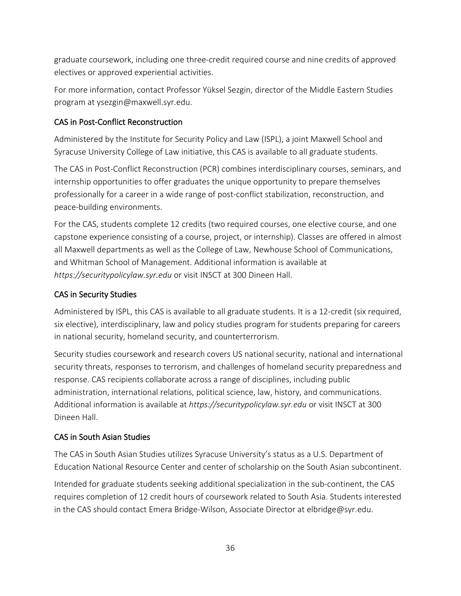graduate coursework, including one three-credit required course and nine credits of approved electives or approved experiential activities.

For more information, contact Professor Yüksel Sezgin, director of the Middle Eastern Studies program at ysezgin@maxwell.syr.edu.

### CAS in Post-Conflict Reconstruction

Administered by the Institute for Security Policy and Law (ISPL), a joint Maxwell School and Syracuse University College of Law initiative, this CAS is available to all graduate students.

The CAS in Post-Conflict Reconstruction (PCR) combines interdisciplinary courses, seminars, and internship opportunities to offer graduates the unique opportunity to prepare themselves professionally for a career in a wide range of post-conflict stabilization, reconstruction, and peace-building environments.

For the CAS, students complete 12 credits (two required courses, one elective course, and one capstone experience consisting of a course, project, or internship). Classes are offered in almost all Maxwell departments as well as the College of Law, Newhouse School of Communications, and Whitman School of Management. Additional information is available at *https://securitypolicylaw.syr.edu* or visit INSCT at 300 Dineen Hall.

### CAS in Security Studies

Administered by ISPL, this CAS is available to all graduate students. It is a 12-credit (six required, six elective), interdisciplinary, law and policy studies program for students preparing for careers in national security, homeland security, and counterterrorism.

Security studies coursework and research covers US national security, national and international security threats, responses to terrorism, and challenges of homeland security preparedness and response. CAS recipients collaborate across a range of disciplines, including public administration, international relations, political science, law, history, and communications. Additional information is available at *https://securitypolicylaw.syr.edu* or visit INSCT at 300 Dineen Hall.

## CAS in South Asian Studies

The CAS in South Asian Studies utilizes Syracuse University's status as a U.S. Department of Education National Resource Center and center of scholarship on the South Asian subcontinent.

Intended for graduate students seeking additional specialization in the sub-continent, the CAS requires completion of 12 credit hours of coursework related to South Asia. Students interested in the CAS should contact Emera Bridge-Wilson, Associate Director at elbridge@syr.edu.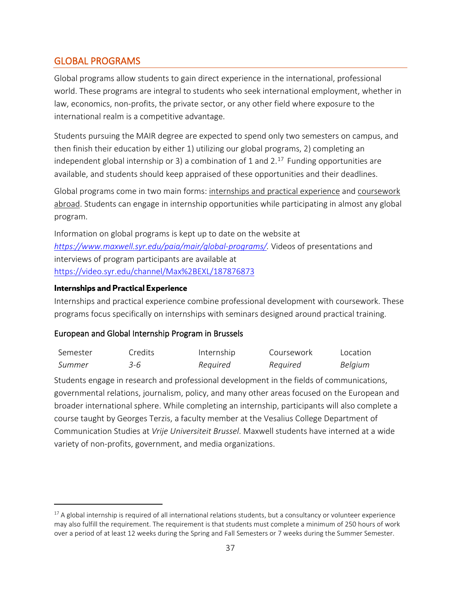## <span id="page-37-0"></span>GLOBAL PROGRAMS

Global programs allow students to gain direct experience in the international, professional world. These programs are integral to students who seek international employment, whether in law, economics, non-profits, the private sector, or any other field where exposure to the international realm is a competitive advantage.

Students pursuing the MAIR degree are expected to spend only two semesters on campus, and then finish their education by either 1) utilizing our global programs, 2) completing an independent global internship or 3) a combination of 1 and  $2<sup>17</sup>$  $2<sup>17</sup>$  $2<sup>17</sup>$  Funding opportunities are available, and students should keep appraised of these opportunities and their deadlines.

Global programs come in two main forms: internships and practical experience and coursework abroad. Students can engage in internship opportunities while participating in almost any global program.

Information on global programs is kept up to date on the website at *[https://www.maxwell.syr.edu/paia/mair/global-programs/.](https://www.maxwell.syr.edu/paia/mair/global-programs/)* Videos of presentations and interviews of program participants are available at <https://video.syr.edu/channel/Max%2BEXL/187876873>

#### **Internships and Practical Experience**

Internships and practical experience combine professional development with coursework. These programs focus specifically on internships with seminars designed around practical training.

#### European and Global Internship Program in Brussels

| Semester | Credits: | Internship | Coursework | Location |
|----------|----------|------------|------------|----------|
| Summer   | 3-6      | Required   | Required   | Belgium  |

Students engage in research and professional development in the fields of communications, governmental relations, journalism, policy, and many other areas focused on the European and broader international sphere. While completing an internship, participants will also complete a course taught by Georges Terzis, a faculty member at the Vesalius College Department of Communication Studies at *Vrije Universiteit Brussel*. Maxwell students have interned at a wide variety of non-profits, government, and media organizations.

 $17$  A global internship is required of all international relations students, but a consultancy or volunteer experience may also fulfill the requirement. The requirement is that students must complete a minimum of 250 hours of work over a period of at least 12 weeks during the Spring and Fall Semesters or 7 weeks during the Summer Semester.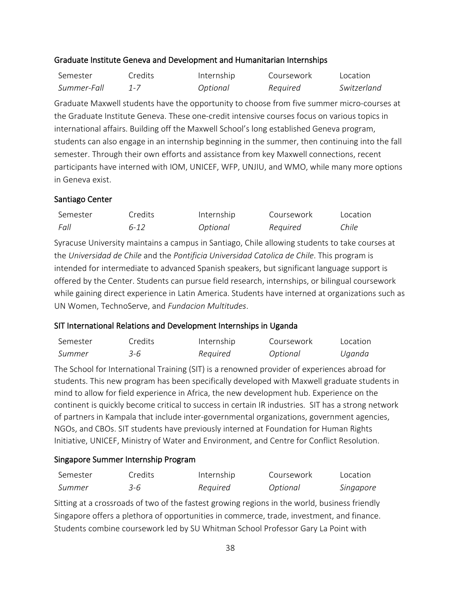#### Graduate Institute Geneva and Development and Humanitarian Internships

| Semester    | Credits | Internship | Coursework | Location    |
|-------------|---------|------------|------------|-------------|
| Summer-Fall |         | Optional   | Required   | Switzerland |

Graduate Maxwell students have the opportunity to choose from five summer micro-courses at the Graduate Institute Geneva. These one-credit intensive courses focus on various topics in international affairs. Building off the Maxwell School's long established Geneva program, students can also engage in an internship beginning in the summer, then continuing into the fall semester. Through their own efforts and assistance from key Maxwell connections, recent participants have interned with IOM, UNICEF, WFP, UNJIU, and WMO, while many more options in Geneva exist.

#### Santiago Center

| Semester | Credits  | Internship | Coursework | Location |
|----------|----------|------------|------------|----------|
| Fall     | $6 - 12$ | Optional   | Required   | Chile    |

Syracuse University maintains a campus in Santiago, Chile allowing students to take courses at the *Universidad de Chile* and the *Pontificia Universidad Catolica de Chile*. This program is intended for intermediate to advanced Spanish speakers, but significant language support is offered by the Center. Students can pursue field research, internships, or bilingual coursework while gaining direct experience in Latin America. Students have interned at organizations such as UN Women, TechnoServe, and *Fundacion Multitudes*.

### SIT International Relations and Development Internships in Uganda

| Semester | Credits | Internship | Coursework | Location |
|----------|---------|------------|------------|----------|
| Summer   | 3-6     | Required   | Optional   | Uganda   |

The School for International Training (SIT) is a renowned provider of experiences abroad for students. This new program has been specifically developed with Maxwell graduate students in mind to allow for field experience in Africa, the new development hub. Experience on the continent is quickly become critical to success in certain IR industries. SIT has a strong network of partners in Kampala that include inter-governmental organizations, government agencies, NGOs, and CBOs. SIT students have previously interned at Foundation for Human Rights Initiative, UNICEF, Ministry of Water and Environment, and Centre for Conflict Resolution.

### Singapore Summer Internship Program

| Semester | Credits | Internship | Coursework | Location  |
|----------|---------|------------|------------|-----------|
| Summer   | 3-6     | Required   | Optional   | Singapore |

<span id="page-38-0"></span>Sitting at a crossroads of two of the fastest growing regions in the world, business friendly Singapore offers a plethora of opportunities in commerce, trade, investment, and finance. Students combine coursework led by SU Whitman School Professor Gary La Point with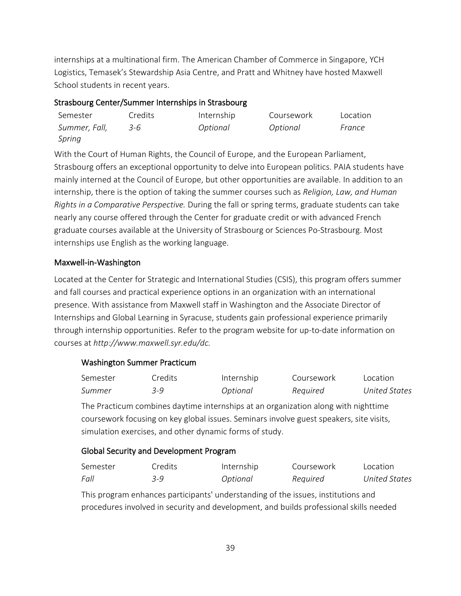internships at a multinational firm. The American Chamber of Commerce in Singapore, YCH Logistics, Temasek's Stewardship Asia Centre, and Pratt and Whitney have hosted Maxwell School students in recent years.

### Strasbourg Center/Summer Internships in Strasbourg

| Semester      | Credits | Internship | Coursework | Location |
|---------------|---------|------------|------------|----------|
| Summer, Fall, | 3-6     | Optional   | Optional   | France   |
| Spring        |         |            |            |          |

With the Court of Human Rights, the Council of Europe, and the European Parliament, Strasbourg offers an exceptional opportunity to delve into European politics. PAIA students have mainly interned at the Council of Europe, but other opportunities are available. In addition to an internship, there is the option of taking the summer courses such as *Religion, Law, and Human Rights in a Comparative Perspective.* During the fall or spring terms, graduate students can take nearly any course offered through the Center for graduate credit or with advanced French graduate courses available at the University of Strasbourg or Sciences Po-Strasbourg. Most internships use English as the working language.

### Maxwell-in-Washington

Located at the Center for Strategic and International Studies (CSIS), this program offers summer and fall courses and practical experience options in an organization with an international presence. With assistance from Maxwell staff in Washington and the Associate Director of Internships and Global Learning in Syracuse, students gain professional experience primarily through internship opportunities. Refer to the program website for up-to-date information on courses at *http://www.maxwell.syr.edu/dc.*

## Washington Summer Practicum

| Semester | Credits  | Internship | Coursework | Location             |
|----------|----------|------------|------------|----------------------|
| Summer   | $-3 - 9$ | Optional   | Required   | <b>United States</b> |

The Practicum combines daytime internships at an organization along with nighttime coursework focusing on key global issues. Seminars involve guest speakers, site visits, simulation exercises, and other dynamic forms of study.

### Global Security and Development Program

| Semester | Credits | Internship | Coursework | Location      |
|----------|---------|------------|------------|---------------|
| Fall     | $-9$    | Optional   | Required   | United States |

This program enhances participants' understanding of the issues, institutions and procedures involved in security and development, and builds professional skills needed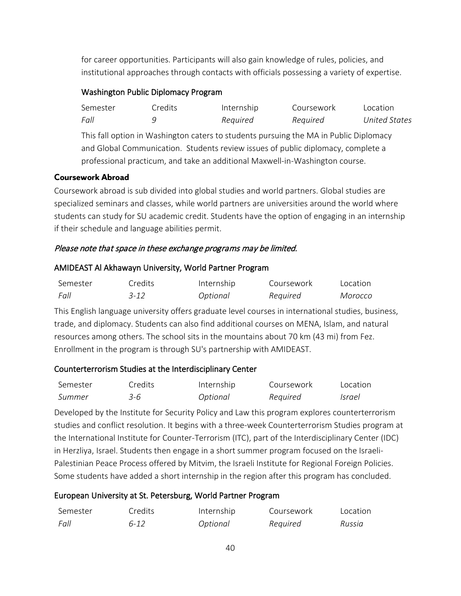for career opportunities. Participants will also gain knowledge of rules, policies, and institutional approaches through contacts with officials possessing a variety of expertise.

#### Washington Public Diplomacy Program

| Semester | Credits | Internship | Coursework | Location             |
|----------|---------|------------|------------|----------------------|
| Fall     |         | Required   | Required   | <b>United States</b> |

This fall option in Washington caters to students pursuing the MA in Public Diplomacy and Global Communication. Students review issues of public diplomacy, complete a professional practicum, and take an additional Maxwell-in-Washington course.

#### **Coursework Abroad**

Coursework abroad is sub divided into global studies and world partners. Global studies are specialized seminars and classes, while world partners are universities around the world where students can study for SU academic credit. Students have the option of engaging in an internship if their schedule and language abilities permit.

#### Please note that space in these exchange programs may be limited.

#### AMIDEAST Al Akhawayn University, World Partner Program

| Semester | Credits  | Internship | Coursework | Location |
|----------|----------|------------|------------|----------|
| Fall     | $3 - 12$ | Optional   | Required   | Morocco  |

This English language university offers graduate level courses in international studies, business, trade, and diplomacy. Students can also find additional courses on MENA, Islam, and natural resources among others. The school sits in the mountains about 70 km (43 mi) from Fez. Enrollment in the program is through SU's partnership with AMIDEAST.

### Counterterrorism Studies at the Interdisciplinary Center

| Semester | Credits | Internship | Coursework | Location |
|----------|---------|------------|------------|----------|
| Summer   | 3-6     | Optional   | Required   | Israel   |

Developed by the Institute for Security Policy and Law this program explores counterterrorism studies and conflict resolution. It begins with a three-week Counterterrorism Studies program at the International Institute for Counter-Terrorism (ITC), part of the Interdisciplinary Center (IDC) in Herzliya, Israel. Students then engage in a short summer program focused on the Israeli-Palestinian Peace Process offered by Mitvim, the Israeli Institute for Regional Foreign Policies. Some students have added a short internship in the region after this program has concluded.

### European University at St. Petersburg, World Partner Program

| Semester | Credits  | Internship | Coursework | Location |
|----------|----------|------------|------------|----------|
| Fall     | $6 - 12$ | Optional   | Required   | Russia   |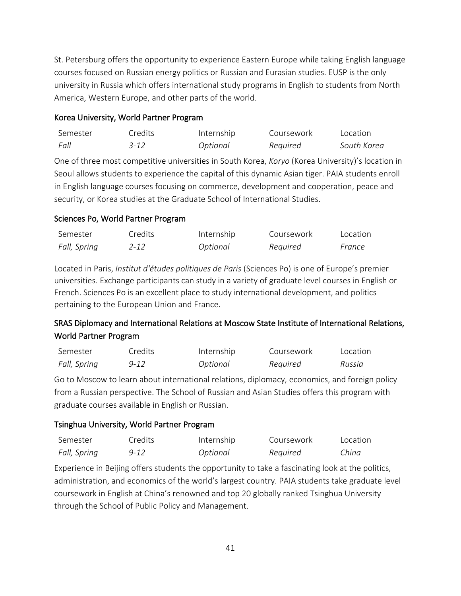St. Petersburg offers the opportunity to experience Eastern Europe while taking English language courses focused on Russian energy politics or Russian and Eurasian studies. EUSP is the only university in Russia which offers international study programs in English to students from North America, Western Europe, and other parts of the world.

#### Korea University, World Partner Program

| Semester | Credits | Internship | Coursework | Location    |
|----------|---------|------------|------------|-------------|
| Fall     | 3-12    | Optional   | Required   | South Korea |

One of three most competitive universities in South Korea, *Koryo* (Korea University)'s location in Seoul allows students to experience the capital of this dynamic Asian tiger. PAIA students enroll in English language courses focusing on commerce, development and cooperation, peace and security, or Korea studies at the Graduate School of International Studies.

### Sciences Po, World Partner Program

| Semester     | Credits | Internship | Coursework | Location |
|--------------|---------|------------|------------|----------|
| Fall, Spring | 2-12    | Optional   | Required   | France   |

Located in Paris, *Institut d'études politiques de Paris* (Sciences Po) is one of Europe's premier universities. Exchange participants can study in a variety of graduate level courses in English or French. Sciences Po is an excellent place to study international development, and politics pertaining to the European Union and France.

## SRAS Diplomacy and International Relations at Moscow State Institute of International Relations, World Partner Program

| Semester     | Credits | Internship | Coursework | Location |
|--------------|---------|------------|------------|----------|
| Fall, Spring | 9-12    | Optional   | Required   | Russia   |

Go to Moscow to learn about international relations, diplomacy, economics, and foreign policy from a Russian perspective. The School of Russian and Asian Studies offers this program with graduate courses available in English or Russian.

### Tsinghua University, World Partner Program

| Semester     | Credits | Internship | Coursework | Location |
|--------------|---------|------------|------------|----------|
| Fall, Spring | 9-12    | Optional   | Required   | China    |

Experience in Beijing offers students the opportunity to take a fascinating look at the politics, administration, and economics of the world's largest country. PAIA students take graduate level coursework in English at China's renowned and top 20 globally ranked Tsinghua University through the School of Public Policy and Management.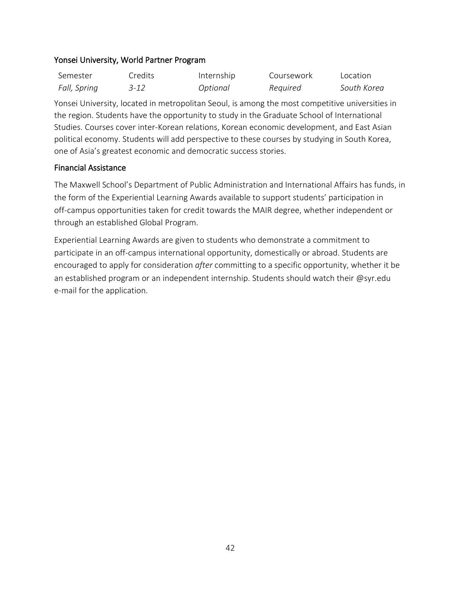#### Yonsei University, World Partner Program

| Semester     | Credits | Internship | Coursework | Location    |
|--------------|---------|------------|------------|-------------|
| Fall, Spring | 3-12    | Optional   | Required   | South Korea |

Yonsei University, located in metropolitan Seoul, is among the most competitive universities in the region. Students have the opportunity to study in the Graduate School of International Studies. Courses cover inter-Korean relations, Korean economic development, and East Asian political economy. Students will add perspective to these courses by studying in South Korea, one of Asia's greatest economic and democratic success stories.

#### Financial Assistance

The Maxwell School's Department of Public Administration and International Affairs has funds, in the form of the Experiential Learning Awards available to support students' participation in off-campus opportunities taken for credit towards the MAIR degree, whether independent or through an established Global Program.

Experiential Learning Awards are given to students who demonstrate a commitment to participate in an off-campus international opportunity, domestically or abroad. Students are encouraged to apply for consideration *after* committing to a specific opportunity, whether it be an established program or an independent internship. Students should watch their @syr.edu e-mail for the application.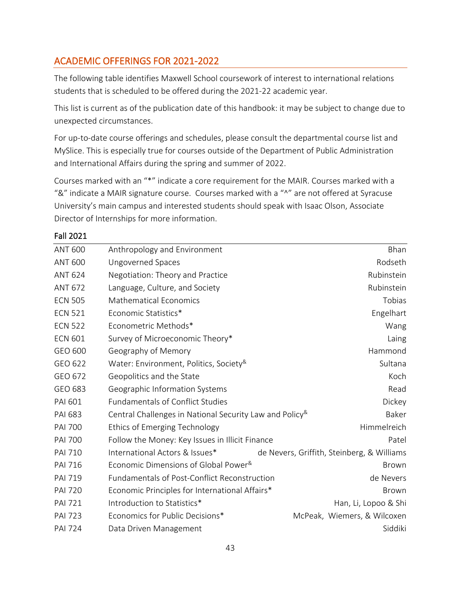## <span id="page-43-0"></span>ACADEMIC OFFERINGS FOR 2021-2022

Fall 2021

The following table identifies Maxwell School coursework of interest to international relations students that is scheduled to be offered during the 2021-22 academic year.

This list is current as of the publication date of this handbook: it may be subject to change due to unexpected circumstances.

For up-to-date course offerings and schedules, please consult the departmental course list and MySlice. This is especially true for courses outside of the Department of Public Administration and International Affairs during the spring and summer of 2022.

Courses marked with an "\*" indicate a core requirement for the MAIR. Courses marked with a "&" indicate a MAIR signature course. Courses marked with a "^" are not offered at Syracuse University's main campus and interested students should speak with Isaac Olson, Associate Director of Internships for more information.

| <b>ANT 600</b> | Anthropology and Environment                                            | Bhan                                       |
|----------------|-------------------------------------------------------------------------|--------------------------------------------|
| <b>ANT 600</b> | Ungoverned Spaces                                                       | Rodseth                                    |
| <b>ANT 624</b> | Negotiation: Theory and Practice                                        | Rubinstein                                 |
| <b>ANT 672</b> | Language, Culture, and Society                                          | Rubinstein                                 |
| <b>ECN 505</b> | <b>Mathematical Economics</b>                                           | Tobias                                     |
| <b>ECN 521</b> | Economic Statistics*                                                    | Engelhart                                  |
| <b>ECN 522</b> | Econometric Methods*                                                    | Wang                                       |
| <b>ECN 601</b> | Survey of Microeconomic Theory*                                         | Laing                                      |
| GEO 600        | Geography of Memory                                                     | Hammond                                    |
| GEO 622        | Water: Environment, Politics, Society <sup>&amp;</sup>                  | Sultana                                    |
| GEO 672        | Geopolitics and the State                                               | Koch                                       |
| GEO 683        | Geographic Information Systems                                          | Read                                       |
| PAI 601        | <b>Fundamentals of Conflict Studies</b>                                 | Dickey                                     |
| <b>PAI 683</b> | Central Challenges in National Security Law and Policy <sup>&amp;</sup> | Baker                                      |
| <b>PAI 700</b> | Ethics of Emerging Technology                                           | Himmelreich                                |
| <b>PAI 700</b> | Follow the Money: Key Issues in Illicit Finance                         | Patel                                      |
| <b>PAI 710</b> | International Actors & Issues*                                          | de Nevers, Griffith, Steinberg, & Williams |
| <b>PAI 716</b> | Economic Dimensions of Global Power <sup>&amp;</sup>                    | <b>Brown</b>                               |
| <b>PAI 719</b> | <b>Fundamentals of Post-Conflict Reconstruction</b>                     | de Nevers                                  |
| <b>PAI 720</b> | Economic Principles for International Affairs*                          | <b>Brown</b>                               |
| <b>PAI 721</b> | Introduction to Statistics*                                             | Han, Li, Lopoo & Shi                       |
| <b>PAI 723</b> | Economics for Public Decisions*                                         | McPeak, Wiemers, & Wilcoxen                |
| <b>PAI 724</b> | Data Driven Management                                                  | Siddiki                                    |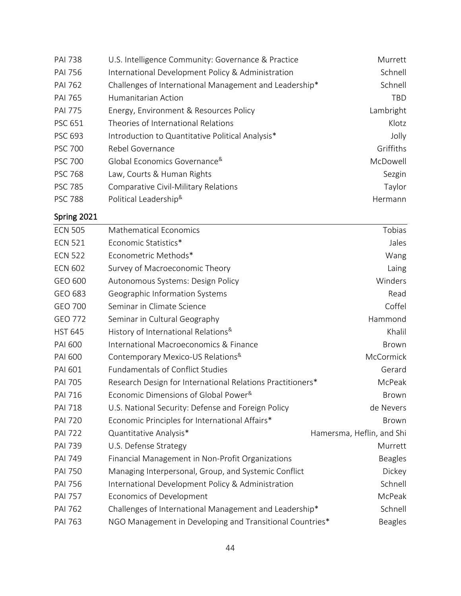| <b>PAI 738</b> | U.S. Intelligence Community: Governance & Practice     | Murrett    |
|----------------|--------------------------------------------------------|------------|
| <b>PAI 756</b> | International Development Policy & Administration      | Schnell    |
| <b>PAI 762</b> | Challenges of International Management and Leadership* | Schnell    |
| <b>PAI 765</b> | Humanitarian Action                                    | <b>TBD</b> |
| <b>PAI 775</b> | Energy, Environment & Resources Policy                 | Lambright  |
| <b>PSC 651</b> | Theories of International Relations                    | Klotz      |
| <b>PSC 693</b> | Introduction to Quantitative Political Analysis*       | Jolly      |
| <b>PSC 700</b> | Rebel Governance                                       | Griffiths  |
| <b>PSC 700</b> | Global Economics Governance <sup>&amp;</sup>           | McDowell   |
| <b>PSC 768</b> | Law, Courts & Human Rights                             | Sezgin     |
| <b>PSC 785</b> | Comparative Civil-Military Relations                   | Taylor     |
| <b>PSC 788</b> | Political Leadership <sup>&amp;</sup>                  | Hermann    |

## Spring 2021

| <b>ECN 505</b> | <b>Mathematical Economics</b>                              | Tobias                    |
|----------------|------------------------------------------------------------|---------------------------|
| <b>ECN 521</b> | Economic Statistics*                                       | Jales                     |
| <b>ECN 522</b> | Econometric Methods*                                       | Wang                      |
| <b>ECN 602</b> | Survey of Macroeconomic Theory                             | Laing                     |
| GEO 600        | Autonomous Systems: Design Policy                          | Winders                   |
| GEO 683        | Geographic Information Systems                             | Read                      |
| <b>GEO 700</b> | Seminar in Climate Science                                 | Coffel                    |
| GEO 772        | Seminar in Cultural Geography                              | Hammond                   |
| <b>HST 645</b> | History of International Relations <sup>&amp;</sup>        | Khalil                    |
| <b>PAI 600</b> | International Macroeconomics & Finance                     | Brown                     |
| <b>PAI 600</b> | Contemporary Mexico-US Relations <sup>&amp;</sup>          | McCormick                 |
| <b>PAI 601</b> | <b>Fundamentals of Conflict Studies</b>                    | Gerard                    |
| <b>PAI 705</b> | Research Design for International Relations Practitioners* | McPeak                    |
| <b>PAI 716</b> | Economic Dimensions of Global Power <sup>&amp;</sup>       | Brown                     |
| <b>PAI 718</b> | U.S. National Security: Defense and Foreign Policy         | de Nevers                 |
| <b>PAI 720</b> | Economic Principles for International Affairs*             | Brown                     |
| <b>PAI 722</b> | Quantitative Analysis*                                     | Hamersma, Heflin, and Shi |
| <b>PAI 739</b> | U.S. Defense Strategy                                      | Murrett                   |
| <b>PAI 749</b> | Financial Management in Non-Profit Organizations           | <b>Beagles</b>            |
| <b>PAI 750</b> | Managing Interpersonal, Group, and Systemic Conflict       | Dickey                    |
| <b>PAI 756</b> | International Development Policy & Administration          | Schnell                   |
| <b>PAI 757</b> | Economics of Development                                   | McPeak                    |
| <b>PAI 762</b> | Challenges of International Management and Leadership*     | Schnell                   |
| <b>PAI 763</b> | NGO Management in Developing and Transitional Countries*   | <b>Beagles</b>            |
|                |                                                            |                           |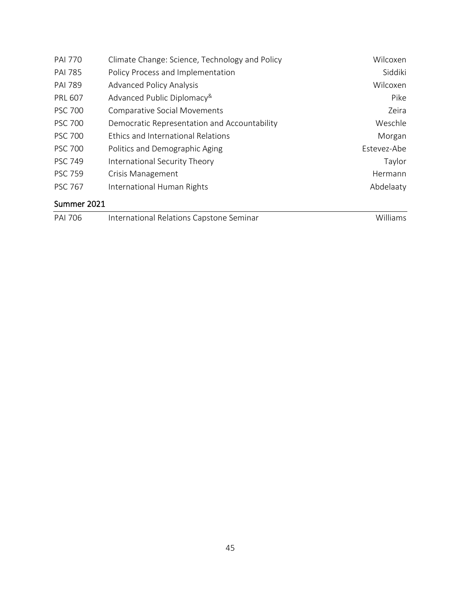| <b>PAI 770</b> | Climate Change: Science, Technology and Policy | Wilcoxen    |
|----------------|------------------------------------------------|-------------|
| <b>PAI 785</b> | Policy Process and Implementation              | Siddiki     |
| <b>PAI 789</b> | <b>Advanced Policy Analysis</b>                | Wilcoxen    |
| <b>PRL 607</b> | Advanced Public Diplomacy <sup>&amp;</sup>     | Pike        |
| <b>PSC 700</b> | <b>Comparative Social Movements</b>            | Zeira       |
| <b>PSC 700</b> | Democratic Representation and Accountability   | Weschle     |
| <b>PSC 700</b> | Ethics and International Relations             | Morgan      |
| <b>PSC 700</b> | Politics and Demographic Aging                 | Estevez-Abe |
| <b>PSC 749</b> | International Security Theory                  | Taylor      |
| <b>PSC 759</b> | Crisis Management                              | Hermann     |
| <b>PSC 767</b> | International Human Rights                     | Abdelaaty   |
| Summer 2021    |                                                |             |

| <b>PAI 706</b> | International Relations Capstone Seminar | Williams |
|----------------|------------------------------------------|----------|
|                |                                          |          |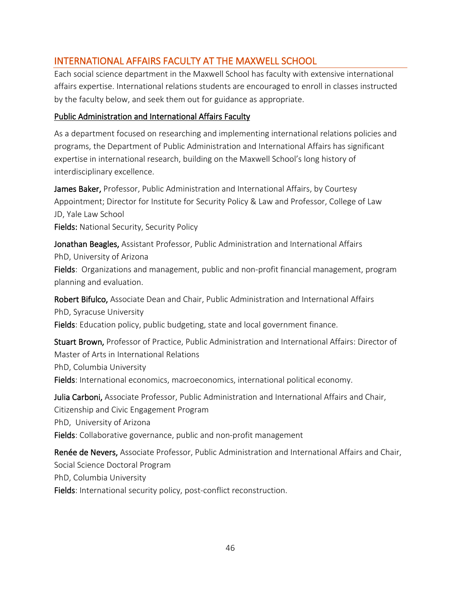## <span id="page-46-0"></span>INTERNATIONAL AFFAIRS FACULTY AT THE MAXWELL SCHOOL

Each social science department in the Maxwell School has faculty with extensive international affairs expertise. International relations students are encouraged to enroll in classes instructed by the faculty below, and seek them out for guidance as appropriate.

### Public Administration and International Affairs Faculty

As a department focused on researching and implementing international relations policies and programs, the Department of Public Administration and International Affairs has significant expertise in international research, building on the Maxwell School's long history of interdisciplinary excellence.

James Baker, Professor, Public Administration and International Affairs, by Courtesy Appointment; Director for Institute for Security Policy & Law and Professor, College of Law JD, Yale Law School Fields: National Security, Security Policy

Jonathan Beagles, Assistant Professor, Public Administration and International Affairs PhD, University of Arizona

Fields: Organizations and management, public and non-profit financial management, program planning and evaluation.

Robert Bifulco, Associate Dean and Chair, Public Administration and International Affairs PhD, Syracuse University Fields: Education policy, public budgeting, state and local government finance.

Stuart Brown, Professor of Practice, Public Administration and International Affairs: Director of Master of Arts in International Relations PhD, Columbia University Fields: International economics, macroeconomics, international political economy.

Julia Carboni, Associate Professor, Public Administration and International Affairs and Chair, Citizenship and Civic Engagement Program PhD, University of Arizona Fields: Collaborative governance, public and non-profit management

Renée de Nevers, Associate Professor, Public Administration and International Affairs and Chair, Social Science Doctoral Program PhD, Columbia University Fields: International security policy, post-conflict reconstruction.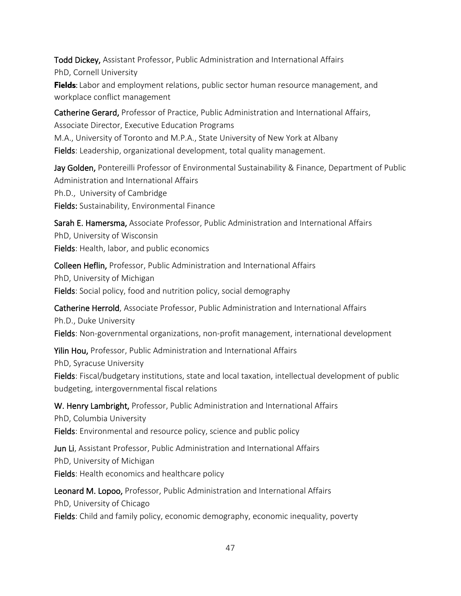Todd Dickey, Assistant Professor, Public Administration and International Affairs PhD, Cornell University **Fields**: Labor and employment relations, public sector human resource management, and workplace conflict management

Catherine Gerard, Professor of Practice, Public Administration and International Affairs, Associate Director, Executive Education Programs M.A., University of Toronto and M.P.A., State University of New York at Albany Fields: Leadership, organizational development, total quality management.

Jay Golden, Pontereilli Professor of Environmental Sustainability & Finance, Department of Public Administration and International Affairs Ph.D., University of Cambridge Fields: Sustainability, Environmental Finance

Sarah E. Hamersma, Associate Professor, Public Administration and International Affairs PhD, University of Wisconsin Fields: Health, labor, and public economics

Colleen Heflin, Professor, Public Administration and International Affairs PhD, University of Michigan Fields: Social policy, food and nutrition policy, social demography

Catherine Herrold, Associate Professor, Public Administration and International Affairs Ph.D., Duke University Fields: Non-governmental organizations, non-profit management, international development

Yilin Hou, Professor, Public Administration and International Affairs PhD, Syracuse University Fields: Fiscal/budgetary institutions, state and local taxation, intellectual development of public budgeting, intergovernmental fiscal relations

W. Henry Lambright, Professor, Public Administration and International Affairs PhD, Columbia University Fields: Environmental and resource policy, science and public policy

Jun Li, Assistant Professor, Public Administration and International Affairs PhD, University of Michigan Fields: Health economics and healthcare policy

Leonard M. Lopoo, Professor, Public Administration and International Affairs PhD, University of Chicago Fields: Child and family policy, economic demography, economic inequality, poverty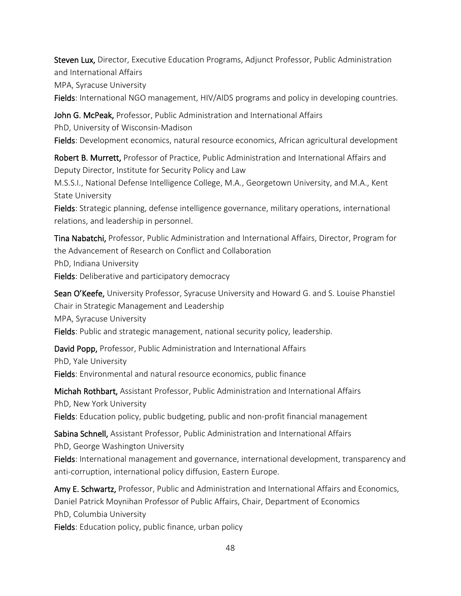Steven Lux, Director, Executive Education Programs, Adjunct Professor, Public Administration and International Affairs MPA, Syracuse University

Fields: International NGO management, HIV/AIDS programs and policy in developing countries.

John G. McPeak, Professor, Public Administration and International Affairs PhD, University of Wisconsin-Madison Fields: Development economics, natural resource economics, African agricultural development

Robert B. Murrett, Professor of Practice, Public Administration and International Affairs and Deputy Director, Institute for Security Policy and Law

M.S.S.I., National Defense Intelligence College, M.A., Georgetown University, and M.A., Kent State University

Fields: Strategic planning, defense intelligence governance, military operations, international relations, and leadership in personnel.

Tina Nabatchi, Professor, Public Administration and International Affairs, Director, Program for the Advancement of Research on Conflict and Collaboration PhD, Indiana University Fields: Deliberative and participatory democracy

Sean O'Keefe, University Professor, Syracuse University and Howard G. and S. Louise Phanstiel Chair in Strategic Management and Leadership MPA, Syracuse University Fields: Public and strategic management, national security policy, leadership.

David Popp, Professor, Public Administration and International Affairs PhD, Yale University Fields: Environmental and natural resource economics, public finance

Michah Rothbart, Assistant Professor, Public Administration and International Affairs PhD, New York University Fields: Education policy, public budgeting, public and non-profit financial management

Sabina Schnell, Assistant Professor, Public Administration and International Affairs PhD, George Washington University

Fields: International management and governance, international development, transparency and anti-corruption, international policy diffusion, Eastern Europe.

Amy E. Schwartz, Professor, Public and Administration and International Affairs and Economics, Daniel Patrick Moynihan Professor of Public Affairs, Chair, Department of Economics PhD, Columbia University

Fields: Education policy, public finance, urban policy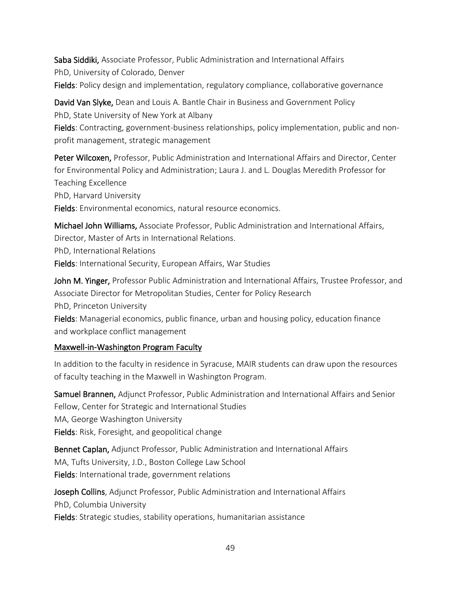Saba Siddiki, Associate Professor, Public Administration and International Affairs PhD, University of Colorado, Denver Fields: Policy design and implementation, regulatory compliance, collaborative governance

David Van Slyke, Dean and Louis A. Bantle Chair in Business and Government Policy PhD, State University of New York at Albany

Fields: Contracting, government-business relationships, policy implementation, public and nonprofit management, strategic management

Peter Wilcoxen, Professor, Public Administration and International Affairs and Director, Center for Environmental Policy and Administration; Laura J. and L. Douglas Meredith Professor for Teaching Excellence

PhD, Harvard University

Fields: Environmental economics, natural resource economics.

Michael John Williams, Associate Professor, Public Administration and International Affairs, Director, Master of Arts in International Relations.

PhD, International Relations

Fields: International Security, European Affairs, War Studies

John M. Yinger, Professor Public Administration and International Affairs, Trustee Professor, and Associate Director for Metropolitan Studies, Center for Policy Research PhD, Princeton University

Fields: Managerial economics, public finance, urban and housing policy, education finance and workplace conflict management

## Maxwell-in-Washington Program Faculty

In addition to the faculty in residence in Syracuse, MAIR students can draw upon the resources of faculty teaching in the Maxwell in Washington Program.

Samuel Brannen, Adjunct Professor, Public Administration and International Affairs and Senior Fellow, Center for Strategic and International Studies MA, George Washington University Fields: Risk, Foresight, and geopolitical change

Bennet Caplan, Adjunct Professor, Public Administration and International Affairs MA, Tufts University, J.D., Boston College Law School Fields: International trade, government relations

Joseph Collins, Adjunct Professor, Public Administration and International Affairs PhD, Columbia University Fields: Strategic studies, stability operations, humanitarian assistance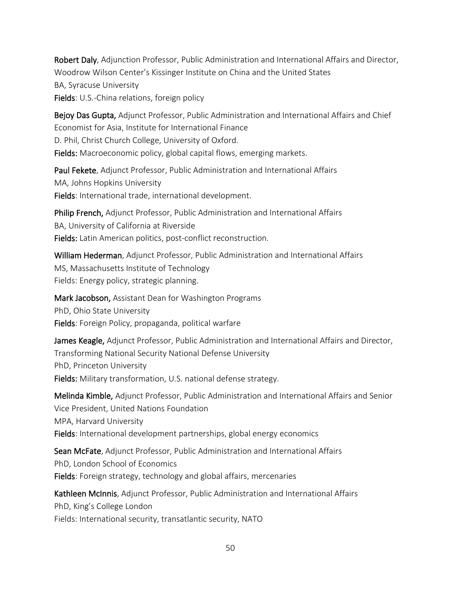Robert Daly, Adjunction Professor, Public Administration and International Affairs and Director, Woodrow Wilson Center's Kissinger Institute on China and the United States BA, Syracuse University Fields: U.S.-China relations, foreign policy

Bejoy Das Gupta, Adjunct Professor, Public Administration and International Affairs and Chief Economist for Asia, Institute for International Finance D. Phil, Christ Church College, University of Oxford. Fields: Macroeconomic policy, global capital flows, emerging markets.

Paul Fekete, Adjunct Professor, Public Administration and International Affairs MA, Johns Hopkins University Fields: International trade, international development.

Philip French, Adjunct Professor, Public Administration and International Affairs BA, University of California at Riverside Fields: Latin American politics, post-conflict reconstruction.

William Hederman, Adjunct Professor, Public Administration and International Affairs MS, Massachusetts Institute of Technology Fields: Energy policy, strategic planning.

Mark Jacobson, Assistant Dean for Washington Programs PhD, Ohio State University

Fields: Foreign Policy, propaganda, political warfare

James Keagle, Adjunct Professor, Public Administration and International Affairs and Director, Transforming National Security National Defense University PhD, Princeton University Fields: Military transformation, U.S. national defense strategy.

Melinda Kimble, Adjunct Professor, Public Administration and International Affairs and Senior Vice President, United Nations Foundation MPA, Harvard University Fields: International development partnerships, global energy economics

Sean McFate, Adjunct Professor, Public Administration and International Affairs PhD, London School of Economics Fields: Foreign strategy, technology and global affairs, mercenaries

Kathleen McInnis, Adjunct Professor, Public Administration and International Affairs PhD, King's College London Fields: International security, transatlantic security, NATO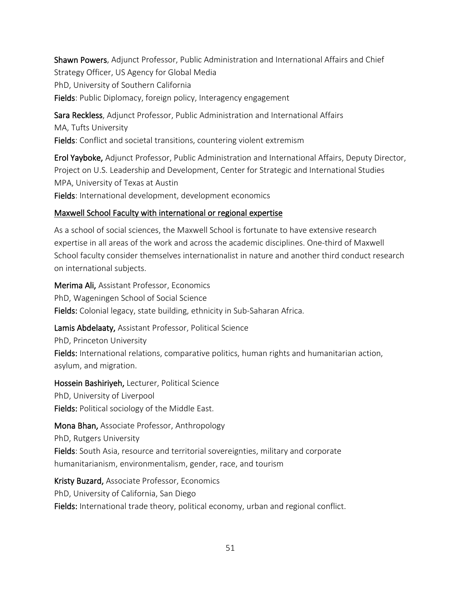Shawn Powers, Adjunct Professor, Public Administration and International Affairs and Chief Strategy Officer, US Agency for Global Media PhD, University of Southern California Fields: Public Diplomacy, foreign policy, Interagency engagement

Sara Reckless, Adjunct Professor, Public Administration and International Affairs MA, Tufts University Fields: Conflict and societal transitions, countering violent extremism

Erol Yayboke, Adjunct Professor, Public Administration and International Affairs, Deputy Director, Project on U.S. Leadership and Development, Center for Strategic and International Studies MPA, University of Texas at Austin

Fields: International development, development economics

### Maxwell School Faculty with international or regional expertise

As a school of social sciences, the Maxwell School is fortunate to have extensive research expertise in all areas of the work and across the academic disciplines. One-third of Maxwell School faculty consider themselves internationalist in nature and another third conduct research on international subjects.

Merima Ali, Assistant Professor, Economics PhD, Wageningen School of Social Science Fields: Colonial legacy, state building, ethnicity in Sub-Saharan Africa.

Lamis Abdelaaty, Assistant Professor, Political Science

PhD, Princeton University

Fields: International relations, comparative politics, human rights and humanitarian action, asylum, and migration.

Hossein Bashiriyeh, Lecturer, Political Science PhD, University of Liverpool

Fields: Political sociology of the Middle East.

## Mona Bhan, Associate Professor, Anthropology

PhD, Rutgers University

Fields: South Asia, resource and territorial sovereignties, military and corporate humanitarianism, environmentalism, gender, race, and tourism

Kristy Buzard, Associate Professor, Economics PhD, University of California, San Diego Fields: International trade theory, political economy, urban and regional conflict.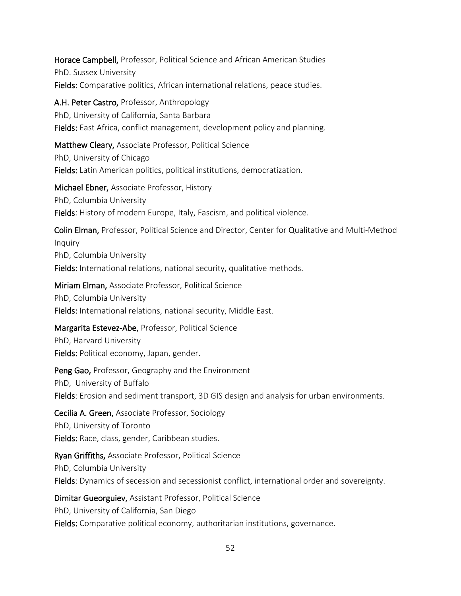Horace Campbell, Professor, Political Science and African American Studies PhD. Sussex University Fields: Comparative politics, African international relations, peace studies.

A.H. Peter Castro, Professor, Anthropology PhD, University of California, Santa Barbara Fields: East Africa, conflict management, development policy and planning.

Matthew Cleary, Associate Professor, Political Science PhD, University of Chicago Fields: Latin American politics, political institutions, democratization.

Michael Ebner, Associate Professor, History PhD, Columbia University Fields: History of modern Europe, Italy, Fascism, and political violence.

Colin Elman, Professor, Political Science and Director, Center for Qualitative and Multi-Method Inquiry PhD, Columbia University Fields: International relations, national security, qualitative methods.

Miriam Elman, Associate Professor, Political Science PhD, Columbia University Fields: International relations, national security, Middle East.

Margarita Estevez-Abe, Professor, Political Science

PhD, Harvard University Fields: Political economy, Japan, gender.

Peng Gao, Professor, Geography and the Environment PhD, University of Buffalo Fields: Erosion and sediment transport, 3D GIS design and analysis for urban environments.

Cecilia A. Green, Associate Professor, Sociology PhD, University of Toronto Fields: Race, class, gender, Caribbean studies.

Ryan Griffiths, Associate Professor, Political Science PhD, Columbia University Fields: Dynamics of secession and secessionist conflict, international order and sovereignty.

Dimitar Gueorguiev, Assistant Professor, Political Science PhD, University of California, San Diego Fields: Comparative political economy, authoritarian institutions, governance.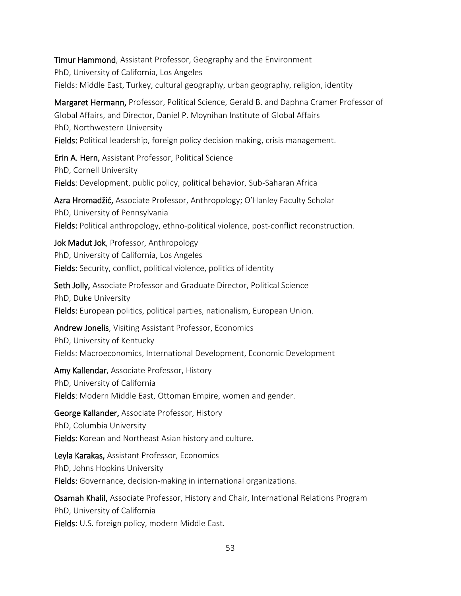Timur Hammond, Assistant Professor, Geography and the Environment PhD, University of California, Los Angeles Fields: Middle East, Turkey, cultural geography, urban geography, religion, identity

Margaret Hermann, Professor, Political Science, Gerald B. and Daphna Cramer Professor of Global Affairs, and Director, Daniel P. Moynihan Institute of Global Affairs PhD, Northwestern University Fields: Political leadership, foreign policy decision making, crisis management.

Erin A. Hern, Assistant Professor, Political Science PhD, Cornell University Fields: Development, public policy, political behavior, Sub-Saharan Africa

Azra Hromadžić, Associate Professor, Anthropology; O'Hanley Faculty Scholar PhD, University of Pennsylvania Fields: Political anthropology, ethno-political violence, post-conflict reconstruction.

Jok Madut Jok, Professor, Anthropology PhD, University of California, Los Angeles Fields: Security, conflict, political violence, politics of identity

Seth Jolly, Associate Professor and Graduate Director, Political Science PhD, Duke University Fields: European politics, political parties, nationalism, European Union.

Andrew Jonelis, Visiting Assistant Professor, Economics PhD, University of Kentucky Fields: Macroeconomics, International Development, Economic Development

Amy Kallendar, Associate Professor, History PhD, University of California Fields: Modern Middle East, Ottoman Empire, women and gender.

George Kallander, Associate Professor, History PhD, Columbia University Fields: Korean and Northeast Asian history and culture.

Leyla Karakas, Assistant Professor, Economics PhD, Johns Hopkins University Fields: Governance, decision-making in international organizations.

Osamah Khalil, Associate Professor, History and Chair, International Relations Program PhD, University of California Fields: U.S. foreign policy, modern Middle East.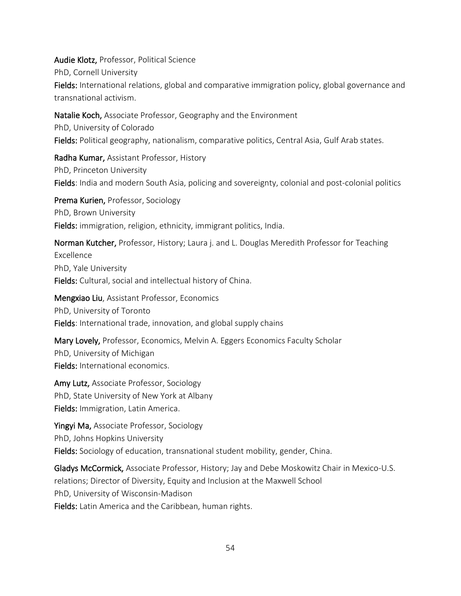Audie Klotz, Professor, Political Science PhD, Cornell University Fields: International relations, global and comparative immigration policy, global governance and transnational activism.

Natalie Koch, Associate Professor, Geography and the Environment PhD, University of Colorado Fields: Political geography, nationalism, comparative politics, Central Asia, Gulf Arab states.

Radha Kumar, Assistant Professor, History PhD, Princeton University Fields: India and modern South Asia, policing and sovereignty, colonial and post-colonial politics

Prema Kurien, Professor, Sociology PhD, Brown University Fields: immigration, religion, ethnicity, immigrant politics, India.

Norman Kutcher, Professor, History; Laura j. and L. Douglas Meredith Professor for Teaching Excellence PhD, Yale University Fields: Cultural, social and intellectual history of China.

Mengxiao Liu, Assistant Professor, Economics PhD, University of Toronto Fields: International trade, innovation, and global supply chains

Mary Lovely, Professor, Economics, Melvin A. Eggers Economics Faculty Scholar PhD, University of Michigan Fields: International economics.

Amy Lutz, Associate Professor, Sociology PhD, State University of New York at Albany Fields: Immigration, Latin America.

Yingyi Ma, Associate Professor, Sociology PhD, Johns Hopkins University Fields: Sociology of education, transnational student mobility, gender, China.

Gladys McCormick, Associate Professor, History; Jay and Debe Moskowitz Chair in Mexico-U.S. relations; Director of Diversity, Equity and Inclusion at the Maxwell School PhD, University of Wisconsin-Madison Fields: Latin America and the Caribbean, human rights.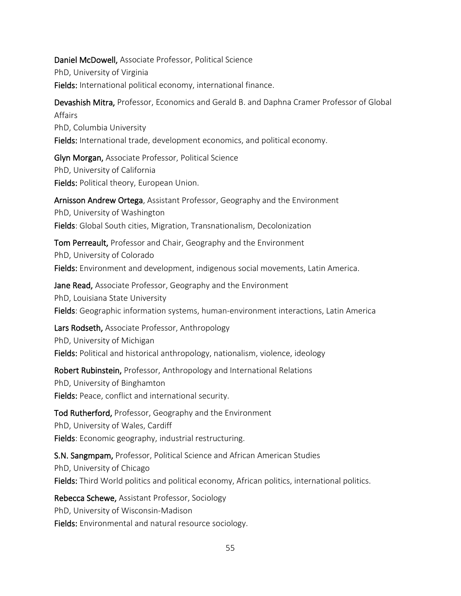Daniel McDowell, Associate Professor, Political Science PhD, University of Virginia Fields: International political economy, international finance.

Devashish Mitra, Professor, Economics and Gerald B. and Daphna Cramer Professor of Global Affairs PhD, Columbia University Fields: International trade, development economics, and political economy.

Glyn Morgan, Associate Professor, Political Science PhD, University of California Fields: Political theory, European Union.

Arnisson Andrew Ortega, Assistant Professor, Geography and the Environment PhD, University of Washington Fields: Global South cities, Migration, Transnationalism, Decolonization

Tom Perreault, Professor and Chair, Geography and the Environment PhD, University of Colorado Fields: Environment and development, indigenous social movements, Latin America.

Jane Read, Associate Professor, Geography and the Environment PhD, Louisiana State University Fields: Geographic information systems, human-environment interactions, Latin America

Lars Rodseth, Associate Professor, Anthropology PhD, University of Michigan Fields: Political and historical anthropology, nationalism, violence, ideology

Robert Rubinstein, Professor, Anthropology and International Relations PhD, University of Binghamton Fields: Peace, conflict and international security.

Tod Rutherford, Professor, Geography and the Environment PhD, University of Wales, Cardiff Fields: Economic geography, industrial restructuring.

S.N. Sangmpam, Professor, Political Science and African American Studies PhD, University of Chicago Fields: Third World politics and political economy, African politics, international politics.

Rebecca Schewe, Assistant Professor, Sociology PhD, University of Wisconsin-Madison Fields: Environmental and natural resource sociology.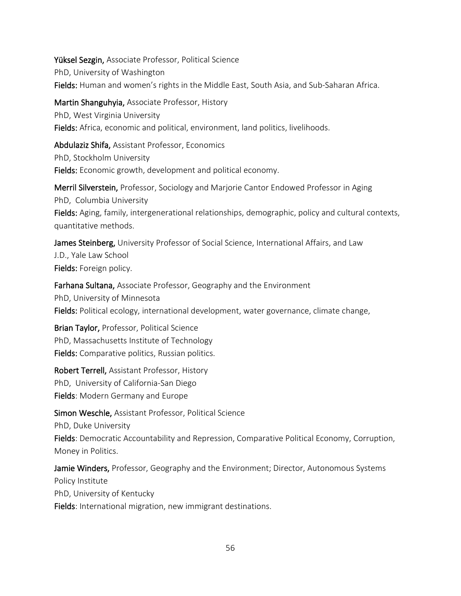Yüksel Sezgin, Associate Professor, Political Science PhD, University of Washington Fields: Human and women's rights in the Middle East, South Asia, and Sub-Saharan Africa.

Martin Shanguhyia, Associate Professor, History PhD, West Virginia University Fields: Africa, economic and political, environment, land politics, livelihoods.

Abdulaziz Shifa, Assistant Professor, Economics PhD, Stockholm University Fields: Economic growth, development and political economy.

Merril Silverstein, Professor, Sociology and Marjorie Cantor Endowed Professor in Aging PhD, Columbia University Fields: Aging, family, intergenerational relationships, demographic, policy and cultural contexts, quantitative methods.

James Steinberg, University Professor of Social Science, International Affairs, and Law J.D., Yale Law School Fields: Foreign policy.

Farhana Sultana, Associate Professor, Geography and the Environment PhD, University of Minnesota Fields: Political ecology, international development, water governance, climate change,

Brian Taylor, Professor, Political Science PhD, Massachusetts Institute of Technology Fields: Comparative politics, Russian politics.

Robert Terrell, Assistant Professor, History PhD, University of California-San Diego Fields: Modern Germany and Europe

Simon Weschle, Assistant Professor, Political Science

PhD, Duke University

Fields: Democratic Accountability and Repression, Comparative Political Economy, Corruption, Money in Politics.

Jamie Winders, Professor, Geography and the Environment; Director, Autonomous Systems Policy Institute PhD, University of Kentucky Fields: International migration, new immigrant destinations.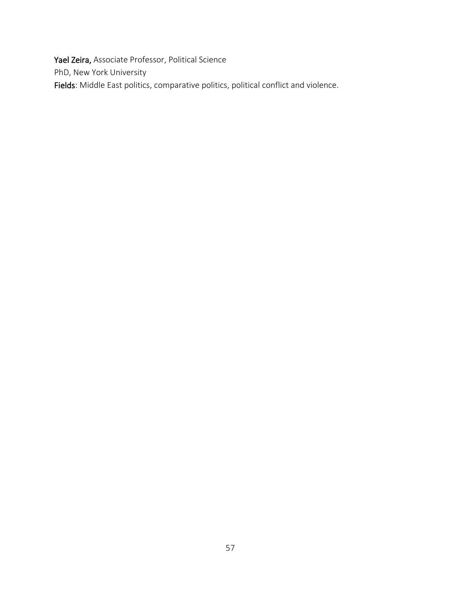Yael Zeira, Associate Professor, Political Science PhD, New York University Fields: Middle East politics, comparative politics, political conflict and violence.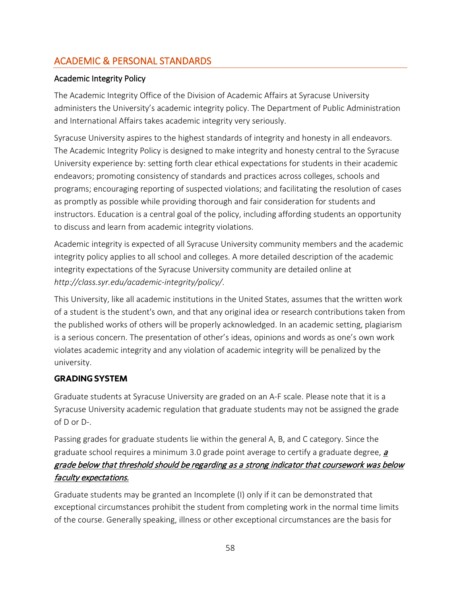## <span id="page-58-0"></span>ACADEMIC & PERSONAL STANDARDS

### Academic Integrity Policy

The Academic Integrity Office of the Division of Academic Affairs at Syracuse University administers the University's academic integrity policy. The Department of Public Administration and International Affairs takes academic integrity very seriously.

Syracuse University aspires to the highest standards of integrity and honesty in all endeavors. The Academic Integrity Policy is designed to make integrity and honesty central to the Syracuse University experience by: setting forth clear ethical expectations for students in their academic endeavors; promoting consistency of standards and practices across colleges, schools and programs; encouraging reporting of suspected violations; and facilitating the resolution of cases as promptly as possible while providing thorough and fair consideration for students and instructors. Education is a central goal of the policy, including affording students an opportunity to discuss and learn from academic integrity violations.

Academic integrity is expected of all Syracuse University community members and the academic integrity policy applies to all school and colleges. A more detailed description of the academic integrity expectations of the Syracuse University community are detailed online at *http://class.syr.edu/academic-integrity/policy/*.

This University, like all academic institutions in the United States, assumes that the written work of a student is the student's own, and that any original idea or research contributions taken from the published works of others will be properly acknowledged. In an academic setting, plagiarism is a serious concern. The presentation of other's ideas, opinions and words as one's own work violates academic integrity and any violation of academic integrity will be penalized by the university.

### **GRADING SYSTEM**

Graduate students at Syracuse University are graded on an A-F scale. Please note that it is a Syracuse University academic regulation that graduate students may not be assigned the grade of D or D-.

Passing grades for graduate students lie within the general A, B, and C category. Since the graduate school requires a minimum 3.0 grade point average to certify a graduate degree,  $a$ grade below that threshold should be regarding as a strong indicator that coursework was below faculty expectations.

Graduate students may be granted an Incomplete (I) only if it can be demonstrated that exceptional circumstances prohibit the student from completing work in the normal time limits of the course. Generally speaking, illness or other exceptional circumstances are the basis for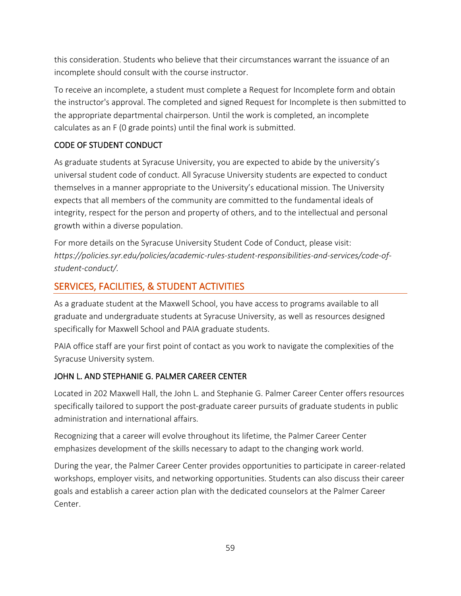this consideration. Students who believe that their circumstances warrant the issuance of an incomplete should consult with the course instructor.

To receive an incomplete, a student must complete a Request for Incomplete form and obtain the instructor's approval. The completed and signed Request for Incomplete is then submitted to the appropriate departmental chairperson. Until the work is completed, an incomplete calculates as an F (0 grade points) until the final work is submitted.

## CODE OF STUDENT CONDUCT

As graduate students at Syracuse University, you are expected to abide by the university's universal student code of conduct. All Syracuse University students are expected to conduct themselves in a manner appropriate to the University's educational mission. The University expects that all members of the community are committed to the fundamental ideals of integrity, respect for the person and property of others, and to the intellectual and personal growth within a diverse population.

For more details on the Syracuse University Student Code of Conduct, please visit: *https://policies.syr.edu/policies/academic-rules-student-responsibilities-and-services/code-ofstudent-conduct/.* 

## <span id="page-59-0"></span>SERVICES, FACILITIES, & STUDENT ACTIVITIES

As a graduate student at the Maxwell School, you have access to programs available to all graduate and undergraduate students at Syracuse University, as well as resources designed specifically for Maxwell School and PAIA graduate students.

PAIA office staff are your first point of contact as you work to navigate the complexities of the Syracuse University system.

## JOHN L. AND STEPHANIE G. PALMER CAREER CENTER

Located in 202 Maxwell Hall, the John L. and Stephanie G. Palmer Career Center offers resources specifically tailored to support the post-graduate career pursuits of graduate students in public administration and international affairs.

Recognizing that a career will evolve throughout its lifetime, the Palmer Career Center emphasizes development of the skills necessary to adapt to the changing work world.

During the year, the Palmer Career Center provides opportunities to participate in career-related workshops, employer visits, and networking opportunities. Students can also discuss their career goals and establish a career action plan with the dedicated counselors at the Palmer Career Center.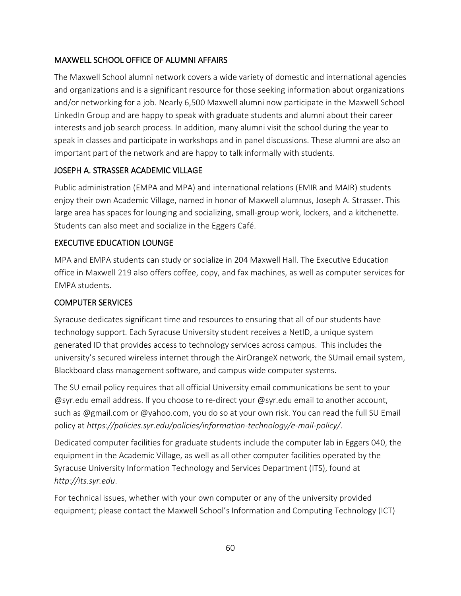### MAXWELL SCHOOL OFFICE OF ALUMNI AFFAIRS

The Maxwell School alumni network covers a wide variety of domestic and international agencies and organizations and is a significant resource for those seeking information about organizations and/or networking for a job. Nearly 6,500 Maxwell alumni now participate in the Maxwell School LinkedIn Group and are happy to speak with graduate students and alumni about their career interests and job search process. In addition, many alumni visit the school during the year to speak in classes and participate in workshops and in panel discussions. These alumni are also an important part of the network and are happy to talk informally with students.

### JOSEPH A. STRASSER ACADEMIC VILLAGE

Public administration (EMPA and MPA) and international relations (EMIR and MAIR) students enjoy their own Academic Village, named in honor of Maxwell alumnus, Joseph A. Strasser. This large area has spaces for lounging and socializing, small-group work, lockers, and a kitchenette. Students can also meet and socialize in the Eggers Café.

### EXECUTIVE EDUCATION LOUNGE

MPA and EMPA students can study or socialize in 204 Maxwell Hall. The Executive Education office in Maxwell 219 also offers coffee, copy, and fax machines, as well as computer services for EMPA students.

### COMPUTER SERVICES

Syracuse dedicates significant time and resources to ensuring that all of our students have technology support. Each Syracuse University student receives a NetID, a unique system generated ID that provides access to technology services across campus. This includes the university's secured wireless internet through the AirOrangeX network, the SUmail email system, Blackboard class management software, and campus wide computer systems.

The SU email policy requires that all official University email communications be sent to your @syr.edu email address. If you choose to re-direct your @syr.edu email to another account, such as @gmail.com or @yahoo.com, you do so at your own risk. You can read the full SU Email policy at *https://policies.syr.edu/policies/information-technology/e-mail-policy/*.

Dedicated computer facilities for graduate students include the computer lab in Eggers 040, the equipment in the Academic Village, as well as all other computer facilities operated by the Syracuse University Information Technology and Services Department (ITS), found at *http://its.syr.edu*.

For technical issues, whether with your own computer or any of the university provided equipment; please contact the Maxwell School's Information and Computing Technology (ICT)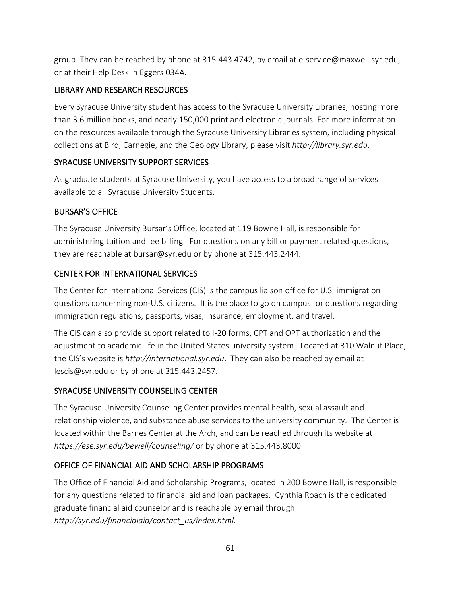group. They can be reached by phone at 315.443.4742, by email a[t e-service@maxwell.syr.edu,](mailto:e-service@maxwell.syr.edu) or at their Help Desk in Eggers 034A.

### LIBRARY AND RESEARCH RESOURCES

Every Syracuse University student has access to the Syracuse University Libraries, hosting more than 3.6 million books, and nearly 150,000 print and electronic journals. For more information on the resources available through the Syracuse University Libraries system, including physical collections at Bird, Carnegie, and the Geology Library, please visit *http://library.syr.edu*.

### SYRACUSE UNIVERSITY SUPPORT SERVICES

As graduate students at Syracuse University, you have access to a broad range of services available to all Syracuse University Students.

### BURSAR'S OFFICE

The Syracuse University Bursar's Office, located at 119 Bowne Hall, is responsible for administering tuition and fee billing. For questions on any bill or payment related questions, they are reachable at bursar@syr.edu or by phone at 315.443.2444.

## CENTER FOR INTERNATIONAL SERVICES

The Center for International Services (CIS) is the campus liaison office for U.S. immigration questions concerning non-U.S. citizens. It is the place to go on campus for questions regarding immigration regulations, passports, visas, insurance, employment, and travel.

The CIS can also provide support related to I-20 forms, CPT and OPT authorization and the adjustment to academic life in the United States university system. Located at 310 Walnut Place, the CIS's website is *http://international.syr.edu*. They can also be reached by email at lescis@syr.edu or by phone at 315.443.2457.

## SYRACUSE UNIVERSITY COUNSELING CENTER

The Syracuse University Counseling Center provides mental health, sexual assault and relationship violence, and substance abuse services to the university community. The Center is located within the Barnes Center at the Arch, and can be reached through its website at *<https://ese.syr.edu/bewell/counseling/>* or by phone at 315.443.8000.

## OFFICE OF FINANCIAL AID AND SCHOLARSHIP PROGRAMS

The Office of Financial Aid and Scholarship Programs, located in 200 Bowne Hall, is responsible for any questions related to financial aid and loan packages. Cynthia Roach is the dedicated graduate financial aid counselor and is reachable by email through *http://syr.edu/financialaid/contact\_us/index.html*.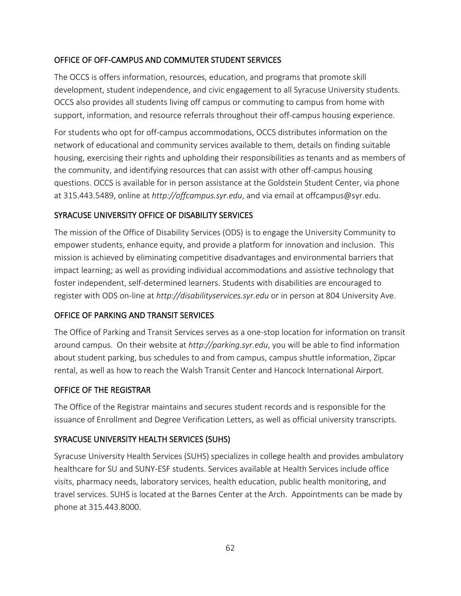### OFFICE OF OFF-CAMPUS AND COMMUTER STUDENT SERVICES

The OCCS is offers information, resources, education, and programs that promote skill development, student independence, and civic engagement to all Syracuse University students. OCCS also provides all students living off campus or commuting to campus from home with support, information, and resource referrals throughout their off-campus housing experience.

For students who opt for off-campus accommodations, OCCS distributes information on the network of educational and community services available to them, details on finding suitable housing, exercising their rights and upholding their responsibilities as tenants and as members of the community, and identifying resources that can assist with other off-campus housing questions. OCCS is available for in person assistance at the Goldstein Student Center, via phone at 315.443.5489, online at *http://offcampus.syr.edu*, and via email at offcampus@syr.edu.

### SYRACUSE UNIVERSITY OFFICE OF DISABILITY SERVICES

The mission of the Office of Disability Services (ODS) is to engage the University Community to empower students, enhance equity, and provide a platform for innovation and inclusion. This mission is achieved by eliminating competitive disadvantages and environmental barriers that impact learning; as well as providing individual accommodations and assistive technology that foster independent, self-determined learners. Students with disabilities are encouraged to register with ODS on-line at *http://disabilityservices.syr.edu* or in person at 804 University Ave.

## OFFICE OF PARKING AND TRANSIT SERVICES

The Office of Parking and Transit Services serves as a one-stop location for information on transit around campus. On their website at *http://parking.syr.edu*, you will be able to find information about student parking, bus schedules to and from campus, campus shuttle information, Zipcar rental, as well as how to reach the Walsh Transit Center and Hancock International Airport.

### OFFICE OF THE REGISTRAR

The Office of the Registrar maintains and secures student records and is responsible for the issuance of Enrollment and Degree Verification Letters, as well as official university transcripts.

### SYRACUSE UNIVERSITY HEALTH SERVICES (SUHS)

Syracuse University Health Services (SUHS) specializes in college health and provides ambulatory healthcare for SU and SUNY-ESF students. Services available at Health Services include office visits, pharmacy needs, laboratory services, health education, public health monitoring, and travel services. SUHS is located at the Barnes Center at the Arch. Appointments can be made by phone at 315.443.8000.